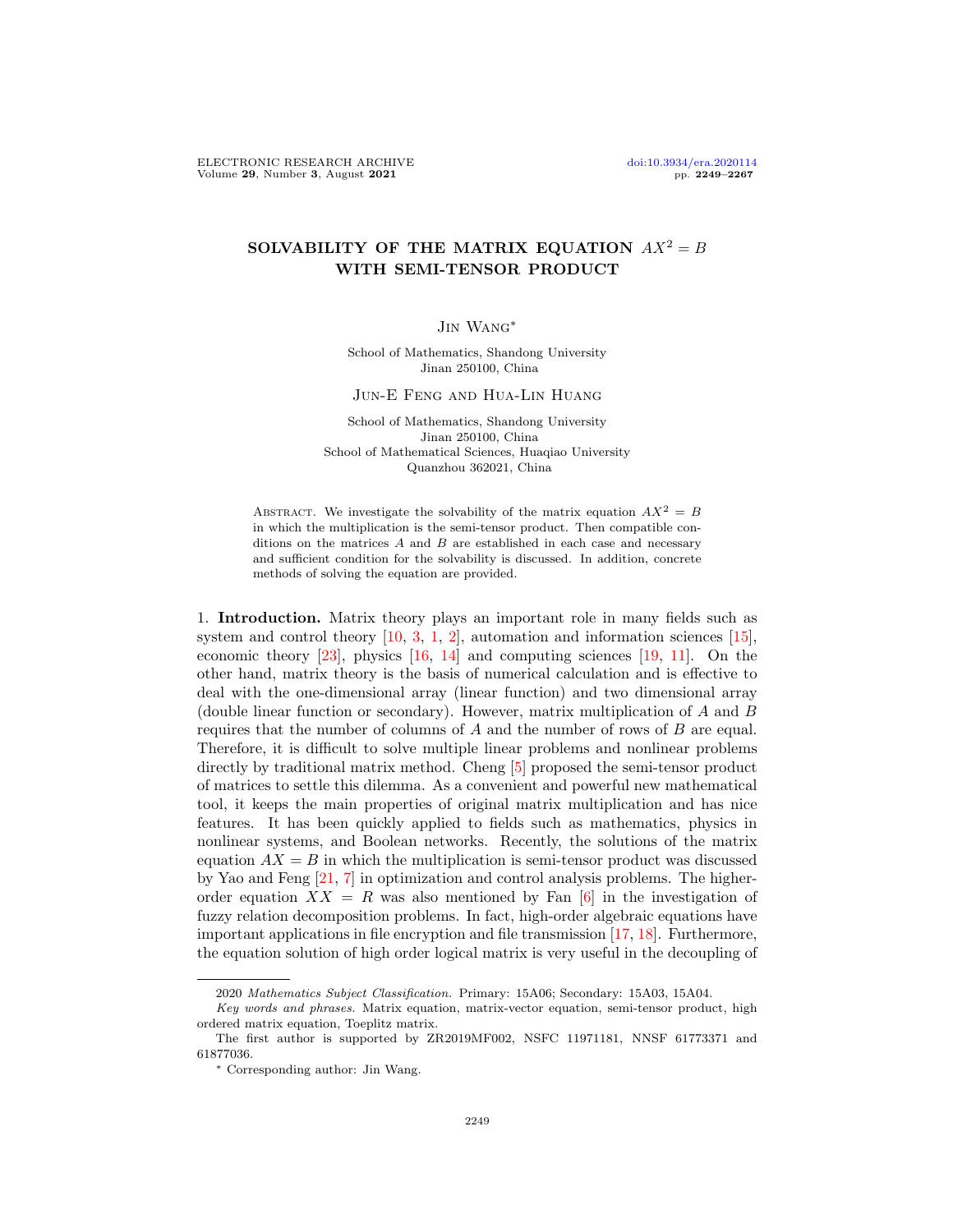## SOLVABILITY OF THE MATRIX EQUATION  $AX^2 = B$ WITH SEMI-TENSOR PRODUCT

## Jin Wang∗

School of Mathematics, Shandong University Jinan 250100, China

## Jun-E Feng and Hua-Lin Huang

School of Mathematics, Shandong University Jinan 250100, China School of Mathematical Sciences, Huaqiao University Quanzhou 362021, China

ABSTRACT. We investigate the solvability of the matrix equation  $AX^2 = B$ in which the multiplication is the semi-tensor product. Then compatible conditions on the matrices  $A$  and  $B$  are established in each case and necessary and sufficient condition for the solvability is discussed. In addition, concrete methods of solving the equation are provided.

1. Introduction. Matrix theory plays an important role in many fields such as system and control theory  $[10, 3, 1, 2]$  $[10, 3, 1, 2]$  $[10, 3, 1, 2]$  $[10, 3, 1, 2]$  $[10, 3, 1, 2]$  $[10, 3, 1, 2]$  $[10, 3, 1, 2]$ , automation and information sciences  $[15]$ , economic theory  $[23]$ , physics  $[16, 14]$  $[16, 14]$  $[16, 14]$  and computing sciences  $[19, 11]$  $[19, 11]$  $[19, 11]$ . On the other hand, matrix theory is the basis of numerical calculation and is effective to deal with the one-dimensional array (linear function) and two dimensional array (double linear function or secondary). However, matrix multiplication of A and B requires that the number of columns of A and the number of rows of B are equal. Therefore, it is difficult to solve multiple linear problems and nonlinear problems directly by traditional matrix method. Cheng [\[5\]](#page-18-8) proposed the semi-tensor product of matrices to settle this dilemma. As a convenient and powerful new mathematical tool, it keeps the main properties of original matrix multiplication and has nice features. It has been quickly applied to fields such as mathematics, physics in nonlinear systems, and Boolean networks. Recently, the solutions of the matrix equation  $AX = B$  in which the multiplication is semi-tensor product was discussed by Yao and Feng [\[21,](#page-18-9) [7\]](#page-18-10) in optimization and control analysis problems. The higherorder equation  $XX = R$  was also mentioned by Fan [\[6\]](#page-18-11) in the investigation of fuzzy relation decomposition problems. In fact, high-order algebraic equations have important applications in file encryption and file transmission [\[17,](#page-18-12) [18\]](#page-18-13). Furthermore, the equation solution of high order logical matrix is very useful in the decoupling of

<sup>2020</sup> Mathematics Subject Classification. Primary: 15A06; Secondary: 15A03, 15A04.

Key words and phrases. Matrix equation, matrix-vector equation, semi-tensor product, high ordered matrix equation, Toeplitz matrix.

The first author is supported by ZR2019MF002, NSFC 11971181, NNSF 61773371 and 61877036.

<sup>∗</sup> Corresponding author: Jin Wang.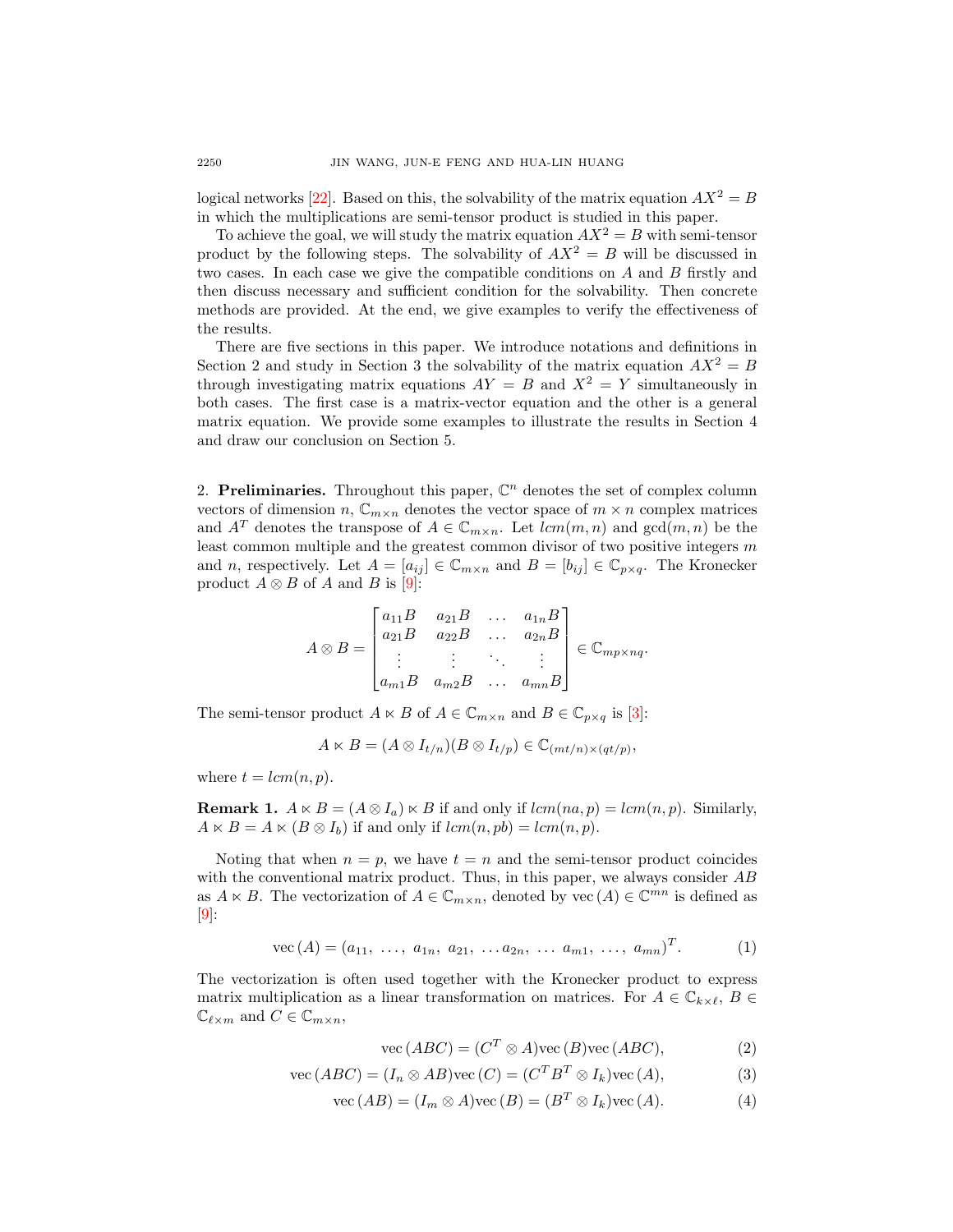logical networks [\[22\]](#page-18-14). Based on this, the solvability of the matrix equation  $AX^2 = B$ in which the multiplications are semi-tensor product is studied in this paper.

To achieve the goal, we will study the matrix equation  $AX^2 = B$  with semi-tensor product by the following steps. The solvability of  $AX^2 = B$  will be discussed in two cases. In each case we give the compatible conditions on A and B firstly and then discuss necessary and sufficient condition for the solvability. Then concrete methods are provided. At the end, we give examples to verify the effectiveness of the results.

There are five sections in this paper. We introduce notations and definitions in Section 2 and study in Section 3 the solvability of the matrix equation  $AX^2 = B$ through investigating matrix equations  $AY = B$  and  $X^2 = Y$  simultaneously in both cases. The first case is a matrix-vector equation and the other is a general matrix equation. We provide some examples to illustrate the results in Section 4 and draw our conclusion on Section 5.

2. Preliminaries. Throughout this paper,  $\mathbb{C}^n$  denotes the set of complex column vectors of dimension n,  $\mathbb{C}_{m \times n}$  denotes the vector space of  $m \times n$  complex matrices and  $A^T$  denotes the transpose of  $A \in \mathbb{C}_{m \times n}$ . Let  $lcm(m, n)$  and  $gcd(m, n)$  be the least common multiple and the greatest common divisor of two positive integers  $m$ and n, respectively. Let  $A = [a_{ij}] \in \mathbb{C}_{m \times n}$  and  $B = [b_{ij}] \in \mathbb{C}_{p \times q}$ . The Kronecker product  $A \otimes B$  of A and B is [\[9\]](#page-18-15):

$$
A \otimes B = \begin{bmatrix} a_{11}B & a_{21}B & \dots & a_{1n}B \\ a_{21}B & a_{22}B & \dots & a_{2n}B \\ \vdots & \vdots & \ddots & \vdots \\ a_{m1}B & a_{m2}B & \dots & a_{mn}B \end{bmatrix} \in \mathbb{C}_{mp \times nq}.
$$

The semi-tensor product  $A \ltimes B$  of  $A \in \mathbb{C}_{m \times n}$  and  $B \in \mathbb{C}_{p \times q}$  is [\[3\]](#page-18-1):

$$
A \ltimes B = (A \otimes I_{t/n})(B \otimes I_{t/p}) \in \mathbb{C}_{(mt/n) \times (qt/p)},
$$

where  $t = lcm(n, p)$ .

**Remark 1.**  $A \ltimes B = (A \otimes I_a) \ltimes B$  if and only if  $lcm(n, p) = lcm(n, p)$ . Similarly,  $A \ltimes B = A \ltimes (B \otimes I_b)$  if and only if  $lcm(n, pb) = lcm(n, p)$ .

Noting that when  $n = p$ , we have  $t = n$  and the semi-tensor product coincides with the conventional matrix product. Thus, in this paper, we always consider  $AB$ as  $A \ltimes B$ . The vectorization of  $A \in \mathbb{C}_{m \times n}$ , denoted by vec  $(A) \in \mathbb{C}^{mn}$  is defined as  $\vert 9 \vert$ :

$$
\text{vec}(A) = (a_{11}, \ldots, a_{1n}, a_{21}, \ldots a_{2n}, \ldots a_{m1}, \ldots, a_{mn})^T. \tag{1}
$$

The vectorization is often used together with the Kronecker product to express matrix multiplication as a linear transformation on matrices. For  $A \in \mathbb{C}_{k \times \ell}$ ,  $B \in$  $\mathbb{C}_{\ell \times m}$  and  $C \in \mathbb{C}_{m \times n}$ ,

$$
\text{vec}(ABC) = (C^T \otimes A)\text{vec}(B)\text{vec}(ABC),\tag{2}
$$

$$
\text{vec}(ABC) = (I_n \otimes AB)\text{vec}(C) = (C^T B^T \otimes I_k)\text{vec}(A),\tag{3}
$$

$$
\text{vec}(AB) = (I_m \otimes A)\text{vec}(B) = (B^T \otimes I_k)\text{vec}(A). \tag{4}
$$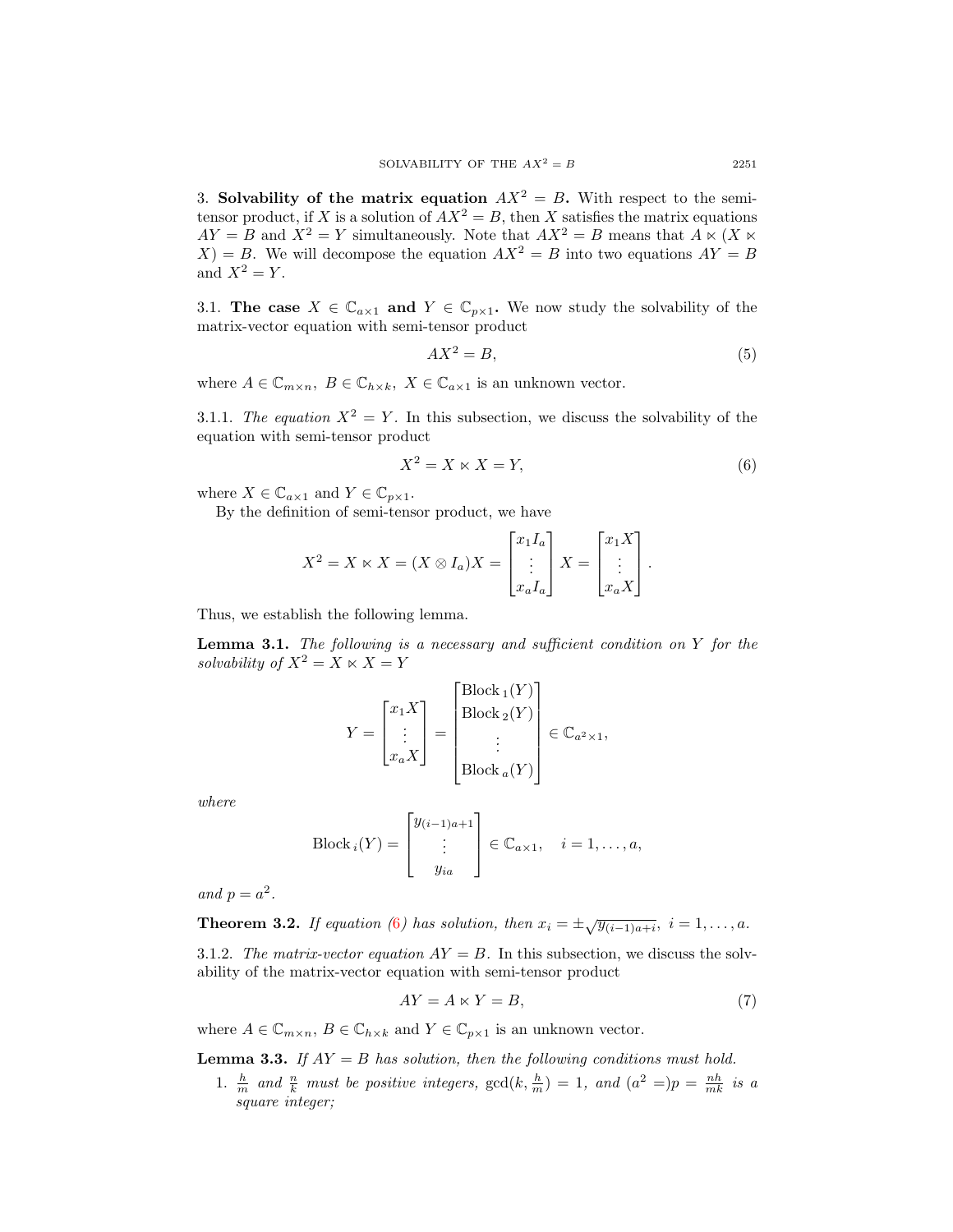3. Solvability of the matrix equation  $AX^2 = B$ . With respect to the semitensor product, if X is a solution of  $AX^2 = B$ , then X satisfies the matrix equations  $AY = B$  and  $X^2 = Y$  simultaneously. Note that  $AX^2 = B$  means that  $A \ltimes (X \ltimes B)$  $X$ ) = B. We will decompose the equation  $AX^2 = B$  into two equations  $AY = B$ and  $X^2 = Y$ .

3.1. The case  $X \in \mathbb{C}_{a \times 1}$  and  $Y \in \mathbb{C}_{p \times 1}$ . We now study the solvability of the matrix-vector equation with semi-tensor product

<span id="page-2-2"></span>
$$
AX^2 = B,\tag{5}
$$

where  $A \in \mathbb{C}_{m \times n}$ ,  $B \in \mathbb{C}_{h \times k}$ ,  $X \in \mathbb{C}_{a \times 1}$  is an unknown vector.

3.1.1. The equation  $X^2 = Y$ . In this subsection, we discuss the solvability of the equation with semi-tensor product

<span id="page-2-0"></span>
$$
X^2 = X \ltimes X = Y,\tag{6}
$$

where  $X \in \mathbb{C}_{a \times 1}$  and  $Y \in \mathbb{C}_{p \times 1}$ .

By the definition of semi-tensor product, we have

$$
X^{2} = X \ltimes X = (X \otimes I_{a})X = \begin{bmatrix} x_{1}I_{a} \\ \vdots \\ x_{a}I_{a} \end{bmatrix} X = \begin{bmatrix} x_{1}X \\ \vdots \\ x_{a}X \end{bmatrix}.
$$

Thus, we establish the following lemma.

**Lemma 3.1.** The following is a necessary and sufficient condition on Y for the solvability of  $X^2 = X \ltimes X = Y$ 

$$
Y = \begin{bmatrix} x_1 X \\ \vdots \\ x_a X \end{bmatrix} = \begin{bmatrix} \text{Block}_1(Y) \\ \text{Block}_2(Y) \\ \vdots \\ \text{Block}_a(Y) \end{bmatrix} \in \mathbb{C}_{a^2 \times 1},
$$

where

Block 
$$
i(Y) = \begin{bmatrix} y_{(i-1)a+1} \\ \vdots \\ y_{ia} \end{bmatrix} \in \mathbb{C}_{a\times 1}, \quad i = 1, \dots, a,
$$

and  $p = a^2$ .

<span id="page-2-4"></span>**Theorem 3.2.** If equation ([6](#page-2-0)) has solution, then  $x_i = \pm \sqrt{y_{(i-1)a+i}}$ ,  $i = 1, ..., a$ .

3.1.2. The matrix-vector equation  $AY = B$ . In this subsection, we discuss the solvability of the matrix-vector equation with semi-tensor product

<span id="page-2-3"></span>
$$
AY = A \ltimes Y = B,\tag{7}
$$

where  $A \in \mathbb{C}_{m \times n}$ ,  $B \in \mathbb{C}_{h \times k}$  and  $Y \in \mathbb{C}_{p \times 1}$  is an unknown vector.

<span id="page-2-1"></span>**Lemma 3.3.** If  $AY = B$  has solution, then the following conditions must hold.

1.  $\frac{h}{m}$  and  $\frac{n}{k}$  must be positive integers,  $gcd(k, \frac{h}{m}) = 1$ , and  $(a^2 =)p = \frac{nh}{mk}$  is a square integer: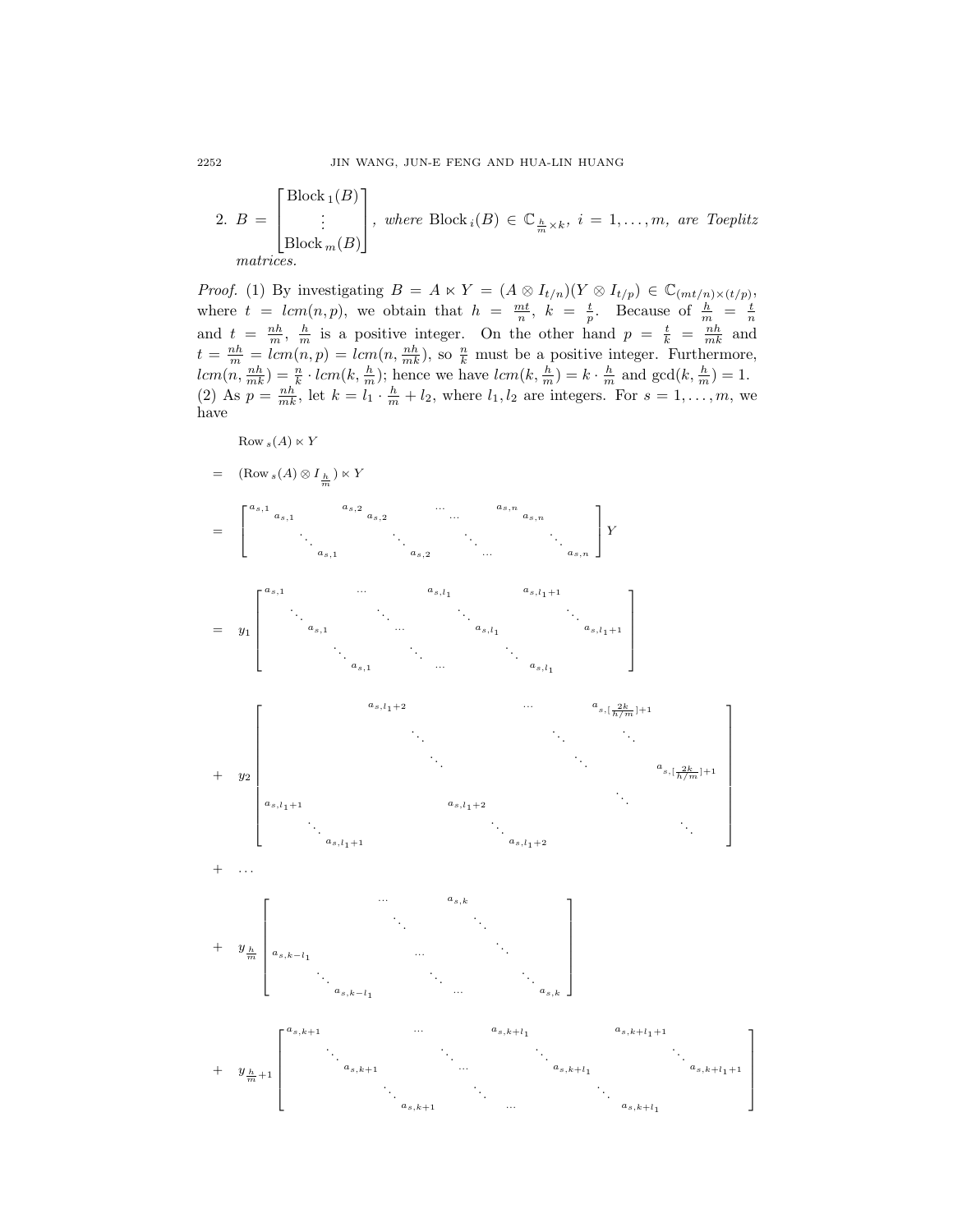2. 
$$
B = \begin{bmatrix} \text{Block}_1(B) \\ \vdots \\ \text{Block}_m(B) \end{bmatrix}
$$
, where Block<sub>i</sub>(B)  $\in \mathbb{C}_{\frac{h}{m} \times k}$ ,  $i = 1, ..., m$ , are Toeplitz matrices.

*Proof.* (1) By investigating  $B = A \ltimes Y = (A \otimes I_{t/n})(Y \otimes I_{t/p}) \in \mathbb{C}_{(mt/n)\times (t/p)},$ where  $t = lcm(n, p)$ , we obtain that  $h = \frac{mt}{n}$ ,  $k = \frac{t}{p}$ . Because of  $\frac{h}{m} = \frac{t}{n}$ and  $t = \frac{nh}{m}$ ,  $\frac{h}{m}$  is a positive integer. On the other hand  $p = \frac{t}{k} = \frac{nh}{mk}$  and  $t = \frac{nh}{m} = lcm(n, p) = lcm(n, \frac{nh}{mk})$ , so  $\frac{n}{k}$  must be a positive integer. Furthermore,  $lcm(n, \frac{nh}{mk}) = \frac{n}{k} \cdot lcm(k, \frac{h}{m});$  hence we have  $lcm(k, \frac{h}{m}) = k \cdot \frac{h}{m}$  and  $gcd(k, \frac{h}{m}) = 1$ . (2) As  $p = \frac{nh}{mk}$ , let  $k = l_1 \cdot \frac{h}{m} + l_2$ , where  $l_1, l_2$  are integers. For  $s = 1, \ldots, m$ , we have

$$
\mathrm{Row}_s(A)\ltimes Y
$$

$$
= (\mathrm{Row}_s(A) \otimes I_{\frac{h}{m}}) \ltimes Y
$$

$$
= \begin{bmatrix} a_{s,1} & a_{s,2} & \cdots & a_{s,n} \\ a_{s,1} & a_{s,2} & \cdots & a_{s,n} \\ \vdots & \vdots & \vdots & \ddots & \vdots \\ a_{s,1} & a_{s,2} & \cdots & a_{s,n} \end{bmatrix} Y
$$





 $a_{s,k}$ 

 $a_{s,k-l_1}$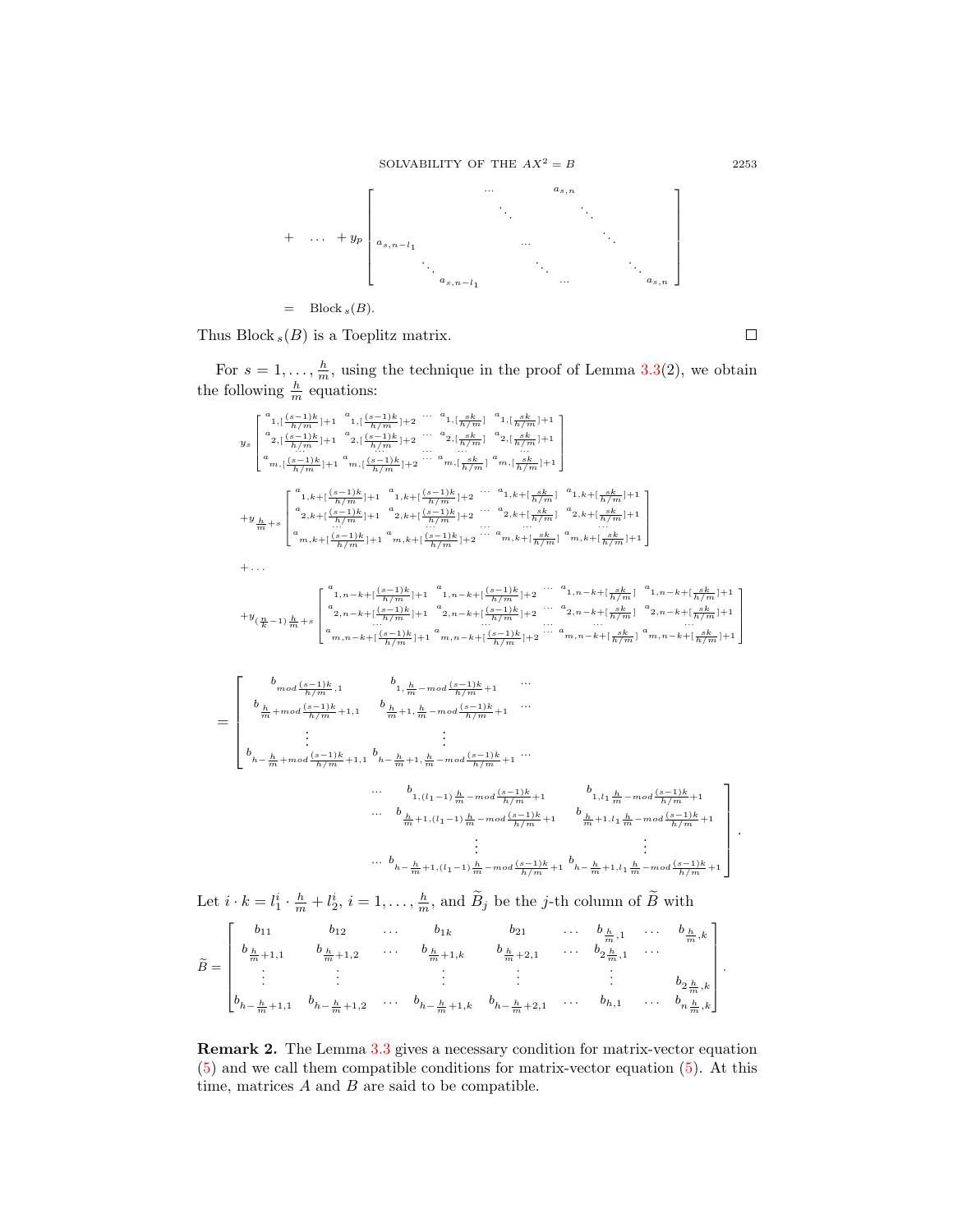



Thus Block  $_s(B)$  is a Toeplitz matrix.

 $\Box$ 

For  $s = 1, \ldots, \frac{h}{m}$ , using the technique in the proof of Lemma 3.[3\(](#page-2-1)2), we obtain the following  $\frac{h}{m}$  equations:

ys a 1,[ (s−1)k h/m ]+1 a 1,[ (s−1)k h/m ]+2 ... a 1,[ sk h/m ] a 1,[ sk h/m ]+1 a 2,[ (s−1)k h/m ]+1 a 2,[ (s−1)k h/m ]+2 ... a 2,[ sk h/m ] a 2,[ sk h/m ]+1 ... ... ... ... ... a m,[ (s−1)k h/m ]+1 a m,[ (s−1)k h/m ]+2 ... am,[ sk h/m ] am,[ sk h/m ]+1 <sup>+</sup><sup>y</sup> hm <sup>+</sup><sup>s</sup> a <sup>1</sup>,k+[ (s−1)<sup>k</sup> h/m ]+1 a <sup>1</sup>,k+[ (s−1)<sup>k</sup> h/m ]+2 ... a 1,k+[ sk h/m ] a 1,k+[ sk h/m ]+1 a <sup>2</sup>,k+[ (s−1)<sup>k</sup> h/m ]+1 a <sup>2</sup>,k+[ (s−1)<sup>k</sup> h/m ]+2 ... a 2,k+[ sk h/m ] a 2,k+[ sk h/m ]+1 ... ... ... ... ... a m,k+[ (s−1)<sup>k</sup> h/m ]+1 a m,k+[ (s−1)<sup>k</sup> h/m ]+2 ... am,k+[ sk h/m ] am,k+[ sk h/m ]+1 + . . . +y ( n <sup>k</sup> <sup>−</sup>1) hm <sup>+</sup><sup>s</sup> a <sup>1</sup>,n−k+[ (s−1)<sup>k</sup> h/m ]+1 a <sup>1</sup>,n−k+[ (s−1)<sup>k</sup> h/m ]+2 ... a 1,n−k+[ sk h/m ] a 1,n−k+[ sk h/m ]+1 a <sup>2</sup>,n−k+[ (s−1)<sup>k</sup> h/m ]+1 a <sup>2</sup>,n−k+[ (s−1)<sup>k</sup> h/m ]+2 ... a 2,n−k+[ sk h/m ] a 2,n−k+[ sk h/m ]+1 ... ... ... ... ... a m,n−k+[ (s−1)<sup>k</sup> h/m ]+1 a m,n−k+[ (s−1)<sup>k</sup> h/m ]+2 ... am,n<sup>−</sup>k+[ sk h/m ] am,n<sup>−</sup>k+[ sk h/m ]+1 <sup>b</sup>mod (s−1)<sup>k</sup> b ...

= h/m ,<sup>1</sup> <sup>1</sup>, hm <sup>−</sup>mod (s−1)<sup>k</sup> h/m +1 <sup>b</sup> hm <sup>+</sup>mod (s−1)<sup>k</sup> h/m +1,<sup>1</sup> <sup>b</sup> hm +1, hm <sup>−</sup>mod (s−1)<sup>k</sup> h/m +1 ... . . . . . . b <sup>h</sup><sup>−</sup> hm <sup>+</sup>mod (s−1)<sup>k</sup> h/m +1,<sup>1</sup> b <sup>h</sup><sup>−</sup> hm +1, hm <sup>−</sup>mod (s−1)<sup>k</sup> h/m +1 ... ... b <sup>1</sup>,(l1−1) hm <sup>−</sup>mod (s−1)<sup>k</sup> h/m +1 b 1,l1 hm <sup>−</sup>mod (s−1)<sup>k</sup> h/m +1 ... b hm +1,(l1−1) hm <sup>−</sup>mod (s−1)<sup>k</sup> h/m +1 <sup>b</sup> hm +1,l<sup>1</sup> hm <sup>−</sup>mod (s−1)<sup>k</sup> h/m +1 . . . . . . ... b <sup>h</sup><sup>−</sup> hm +1,(l1−1) hm <sup>−</sup>mod (s−1)<sup>k</sup> h/m +1 b <sup>h</sup><sup>−</sup> hm +1,l<sup>1</sup> hm <sup>−</sup>mod (s−1)<sup>k</sup> h/m +1 .

Let  $i \cdot k = l_1^i \cdot \frac{h}{m} + l_2^i$ ,  $i = 1, \ldots, \frac{h}{m}$ , and  $\widetilde{B}_j$  be the *j*-th column of  $\widetilde{B}$  with

$$
\widetilde{B} = \begin{bmatrix}\nb_{11} & b_{12} & \dots & b_{1k} & b_{21} & \dots & b_{\frac{h}{m},1} & \dots & b_{\frac{h}{m},k} \\
b_{\frac{h}{m}+1,1} & b_{\frac{h}{m}+1,2} & \dots & b_{\frac{h}{m}+1,k} & b_{\frac{h}{m}+2,1} & \dots & b_{2\frac{h}{m},1} & \dots \\
\vdots & \vdots & \vdots & \vdots & \vdots & \vdots \\
b_{h-\frac{h}{m}+1,1} & b_{h-\frac{h}{m}+1,2} & \dots & b_{h-\frac{h}{m}+1,k} & b_{h-\frac{h}{m}+2,1} & \dots & b_{h,1} & \dots & b_{h\frac{h}{m},k}\n\end{bmatrix}.
$$

Remark 2. The Lemma [3](#page-2-1).3 gives a necessary condition for matrix-vector equation [\(5\)](#page-2-2) and we call them compatible conditions for matrix-vector equation [\(5\)](#page-2-2). At this time, matrices  $A$  and  $B$  are said to be compatible.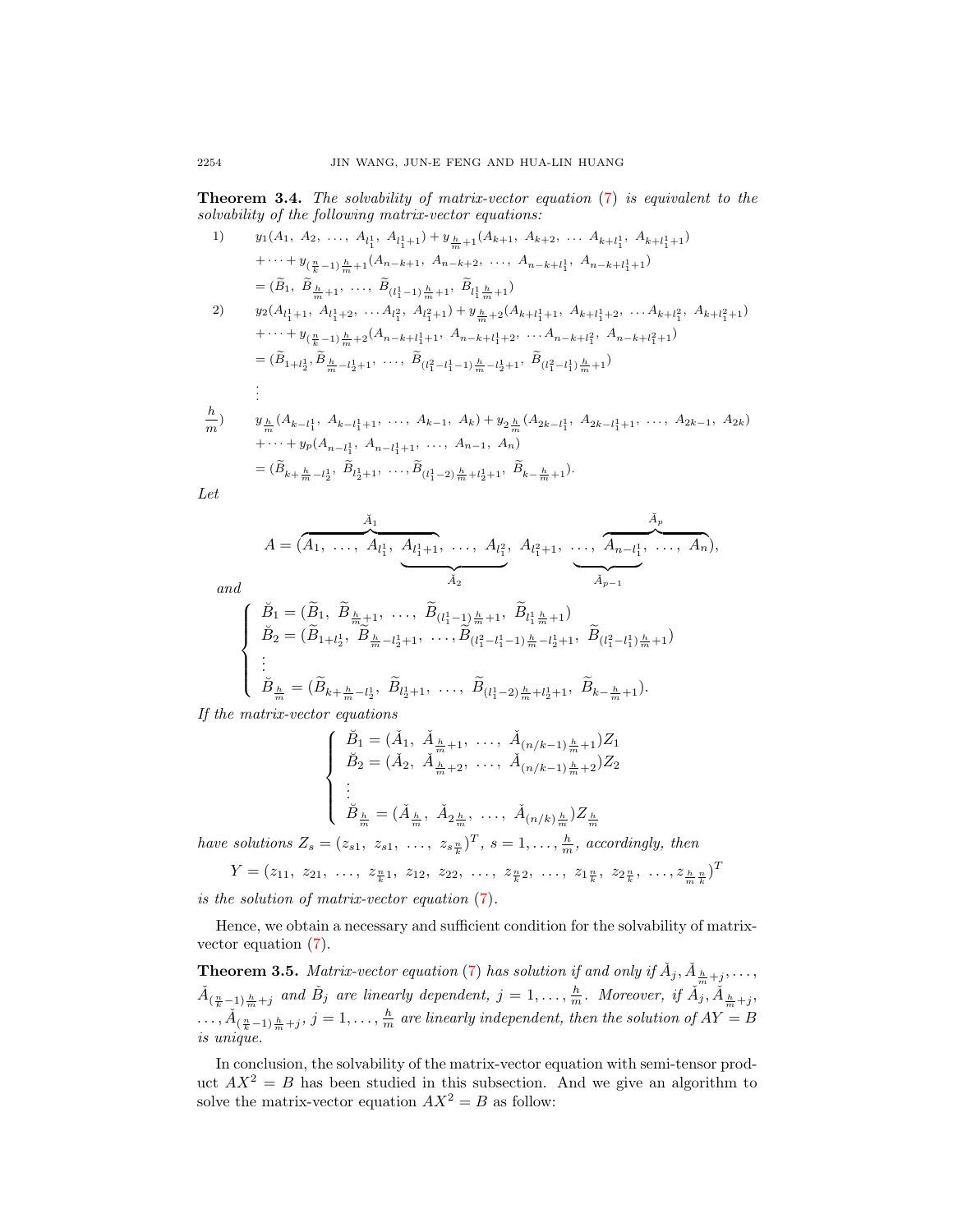<span id="page-5-0"></span>Theorem 3.4. The solvability of matrix-vector equation [\(7\)](#page-2-3) is equivalent to the solvability of the following matrix-vector equations:

1) 
$$
y_1(A_1, A_2, ..., A_{l_1^1}, A_{l_1^1+1}) + y_{\frac{h}{m}+1}(A_{k+1}, A_{k+2}, ..., A_{k+l_1^1}, A_{k+l_1^1+1})
$$
  

$$
+ \cdots + y_{(\frac{n}{k}-1)\frac{h}{m}+1}(A_{n-k+1}, A_{n-k+2}, ..., A_{n-k+l_1^1}, A_{n-k+l_1^1+1})
$$

$$
= (\widetilde{B}_1, \widetilde{B}_{\frac{h}{m}+1}, ..., \widetilde{B}_{(l_1^1-1)\frac{h}{m}+1}, \widetilde{B}_{l_1^1\frac{h}{m}+1})
$$

2) 
$$
y_2(A_{l_1+1}, A_{l_1+2}, \ldots, A_{l_1^2}, A_{l_1^2+1}) + y_{\frac{h}{m}+2}(A_{k+l_1+1}, A_{k+l_1^2+2}, \ldots, A_{k+l_1^2}, A_{k+l_1^2+1})
$$
  
\n $+ \cdots + y_{(\frac{n}{k}-1)\frac{h}{m}+2}(A_{n-k+l_1^1+1}, A_{n-k+l_1^1+2}, \ldots, A_{n-k+l_1^2}, A_{n-k+l_1^2+1})$   
\n $= (\widetilde{B}_{1+l_2^1}, \widetilde{B}_{\frac{h}{m}-l_2^1+1}, \ldots, \widetilde{B}_{(l_1^2-l_1^1-1)\frac{h}{m}-l_2^1+1}, \widetilde{B}_{(l_1^2-l_1^1)\frac{h}{m}+1})$   
\n $\vdots$ 

$$
\frac{h}{m}
$$
\n
$$
y_{\frac{h}{m}}(A_{k-l_1^1}, A_{k-l_1^1+1}, \dots, A_{k-1}, A_k) + y_{2\frac{h}{m}}(A_{2k-l_1^1}, A_{2k-l_1^1+1}, \dots, A_{2k-1}, A_{2k})
$$
\n
$$
+\dots + y_p(A_{n-l_1^1}, A_{n-l_1^1+1}, \dots, A_{n-1}, A_n)
$$
\n
$$
= (\widetilde{B}_{k+\frac{h}{m}-l_2^1}, \widetilde{B}_{l_2^1+1}, \dots, \widetilde{B}_{(l_1^1-2)\frac{h}{m}+l_2^1+1}, \widetilde{B}_{k-\frac{h}{m}+1}).
$$

Let

$$
A = (\overbrace{A_1, \ldots, A_{l_1}^1, \underbrace{A_{l_1+1}^1, \ldots, A_{l_1}^2}_{A_2}, A_{l_1+1}^2, \ldots, \overbrace{A_{n-l_1}^1, \ldots, A_n}^{\breve{A}_p}),
$$

and

$$
\begin{cases}\n\breve{B}_1 = (\tilde{B}_1, \ \tilde{B}_{\frac{h}{m}+1}, \ \ldots, \ \tilde{B}_{(l_1^1-1)\frac{h}{m}+1}, \ \tilde{B}_{l_1^1\frac{h}{m}+1}) \\
\breve{B}_2 = (\tilde{B}_{1+l_2^1}, \ \tilde{B}_{\frac{h}{m}-l_2^1+1}, \ \ldots, \tilde{B}_{(l_1^2-l_1^1-1)\frac{h}{m}-l_2^1+1}, \ \tilde{B}_{(l_1^2-l_1^1)\frac{h}{m}+1}) \\
\vdots \\
\breve{B}_{\frac{h}{m}} = (\tilde{B}_{k+\frac{h}{m}-l_2^1}, \ \tilde{B}_{l_2^1+1}, \ \ldots, \ \tilde{B}_{(l_1^1-2)\frac{h}{m}+l_2^1+1}, \ \tilde{B}_{k-\frac{h}{m}+1}).\n\end{cases}
$$

If the matrix-vector equations

$$
\begin{cases}\n\breve{B}_1 = (\breve{A}_1, \ \breve{A}_{\frac{h}{m}+1}, \ \ldots, \ \breve{A}_{(n/k-1)\frac{h}{m}+1})Z_1 \\
\breve{B}_2 = (\breve{A}_2, \ \breve{A}_{\frac{h}{m}+2}, \ \ldots, \ \breve{A}_{(n/k-1)\frac{h}{m}+2})Z_2 \\
\vdots \\
\breve{B}_{\frac{h}{m}} = (\breve{A}_{\frac{h}{m}}, \ \breve{A}_{2\frac{h}{m}}, \ \ldots, \ \breve{A}_{(n/k)\frac{h}{m}})Z_{\frac{h}{m}}\n\end{cases}
$$

have solutions  $Z_s = (z_{s1}, z_{s1}, \ldots, z_{s\frac{n}{k}})^T$ ,  $s = 1, \ldots, \frac{h}{m}$ , accordingly, then

$$
Y = (z_{11}, z_{21}, \ldots, z_{\frac{n}{k}1}, z_{12}, z_{22}, \ldots, z_{\frac{n}{k}2}, \ldots, z_{1\frac{n}{k}}, z_{2\frac{n}{k}}, \ldots, z_{\frac{n}{m}\frac{n}{k}})^T
$$

is the solution of matrix-vector equation [\(7\)](#page-2-3).

Hence, we obtain a necessary and sufficient condition for the solvability of matrixvector equation [\(7\)](#page-2-3).

**Theorem 3.5.** Matrix-vector equation [\(7\)](#page-2-3) has solution if and only if  $\check{A}_j$ ,  $\check{A}_{\frac{h}{m}+j}$ ,...,  $\check{A}_{(\frac{n}{k}-1)\frac{h}{m}+j}$  and  $\check{B}_j$  are linearly dependent,  $j=1,\ldots,\frac{h}{m}$ . Moreover, if  $\check{A}_j$ ,  $\check{A}_{\frac{h}{m}+j}$ ,  $\ldots, \check{A}_{(\frac{n}{k}-1)\frac{h}{m}+j}, j=1,\ldots,\frac{h}{m}$  are linearly independent, then the solution of  $AY$  = B is unique.

In conclusion, the solvability of the matrix-vector equation with semi-tensor product  $AX^2 = B$  has been studied in this subsection. And we give an algorithm to solve the matrix-vector equation  $AX^2 = B$  as follow: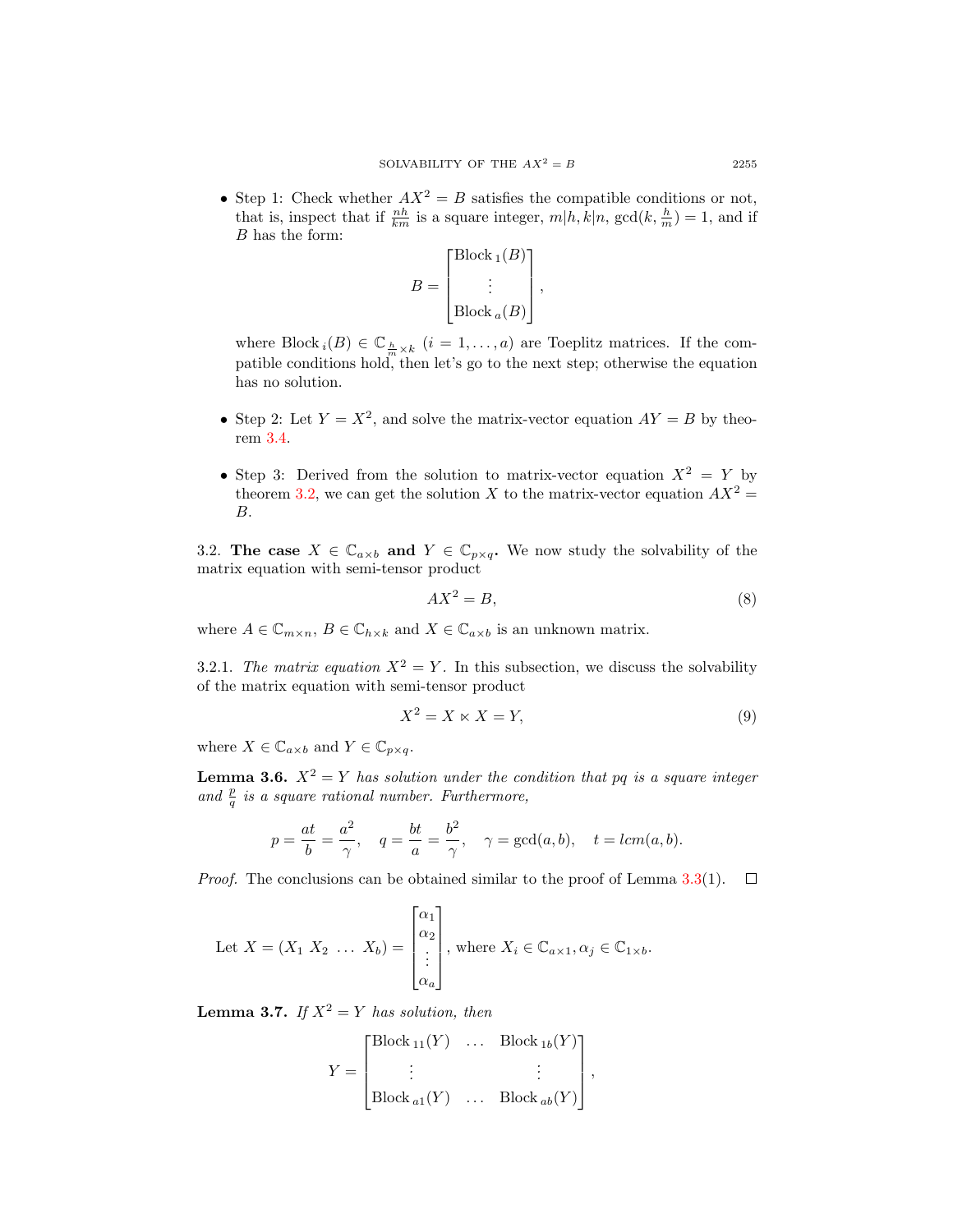• Step 1: Check whether  $AX^2 = B$  satisfies the compatible conditions or not, that is, inspect that if  $\frac{nh}{km}$  is a square integer,  $m|h, k|n$ ,  $gcd(k, \frac{h}{m}) = 1$ , and if B has the form:

$$
B = \begin{bmatrix} \text{Block}_1(B) \\ \vdots \\ \text{Block}_a(B) \end{bmatrix},
$$

where Block  $_i(B) \in \mathbb{C}_{\frac{h}{m}\times k}$   $(i = 1, ..., a)$  are Toeplitz matrices. If the compatible conditions hold, then let's go to the next step; otherwise the equation has no solution.

- Step 2: Let  $Y = X^2$ , and solve the matrix-vector equation  $AY = B$  by theorem 3.[4.](#page-5-0)
- Step 3: Derived from the solution to matrix-vector equation  $X^2 = Y$  by theorem 3.[2,](#page-2-4) we can get the solution X to the matrix-vector equation  $AX^2 =$ B.

3.2. The case  $X \in \mathbb{C}_{a \times b}$  and  $Y \in \mathbb{C}_{p \times q}$ . We now study the solvability of the matrix equation with semi-tensor product

<span id="page-6-1"></span>
$$
AX^2 = B,\tag{8}
$$

where  $A \in \mathbb{C}_{m \times n}$ ,  $B \in \mathbb{C}_{h \times k}$  and  $X \in \mathbb{C}_{a \times b}$  is an unknown matrix.

3.2.1. The matrix equation  $X^2 = Y$ . In this subsection, we discuss the solvability of the matrix equation with semi-tensor product

<span id="page-6-0"></span>
$$
X^2 = X \ltimes X = Y,\tag{9}
$$

where  $X \in \mathbb{C}_{a \times b}$  and  $Y \in \mathbb{C}_{p \times a}$ .

**Lemma 3.6.**  $X^2 = Y$  has solution under the condition that pq is a square integer and  $\frac{p}{q}$  is a square rational number. Furthermore,

$$
p = \frac{at}{b} = \frac{a^2}{\gamma}
$$
,  $q = \frac{bt}{a} = \frac{b^2}{\gamma}$ ,  $\gamma = \gcd(a, b)$ ,  $t = lcm(a, b)$ .

*Proof.* The conclusions can be obtained similar to the proof of Lemma 3.[3\(](#page-2-1)1).  $\Box$ 

Let 
$$
X = (X_1 \ X_2 \ \dots \ X_b) = \begin{bmatrix} \alpha_1 \\ \alpha_2 \\ \vdots \\ \alpha_a \end{bmatrix}
$$
, where  $X_i \in \mathbb{C}_{a \times 1}, \alpha_j \in \mathbb{C}_{1 \times b}$ .

**Lemma 3.7.** If  $X^2 = Y$  has solution, then

$$
Y = \begin{bmatrix} \text{Block}_{11}(Y) & \dots & \text{Block}_{1b}(Y) \\ \vdots & & \vdots \\ \text{Block}_{a1}(Y) & \dots & \text{Block}_{ab}(Y) \end{bmatrix},
$$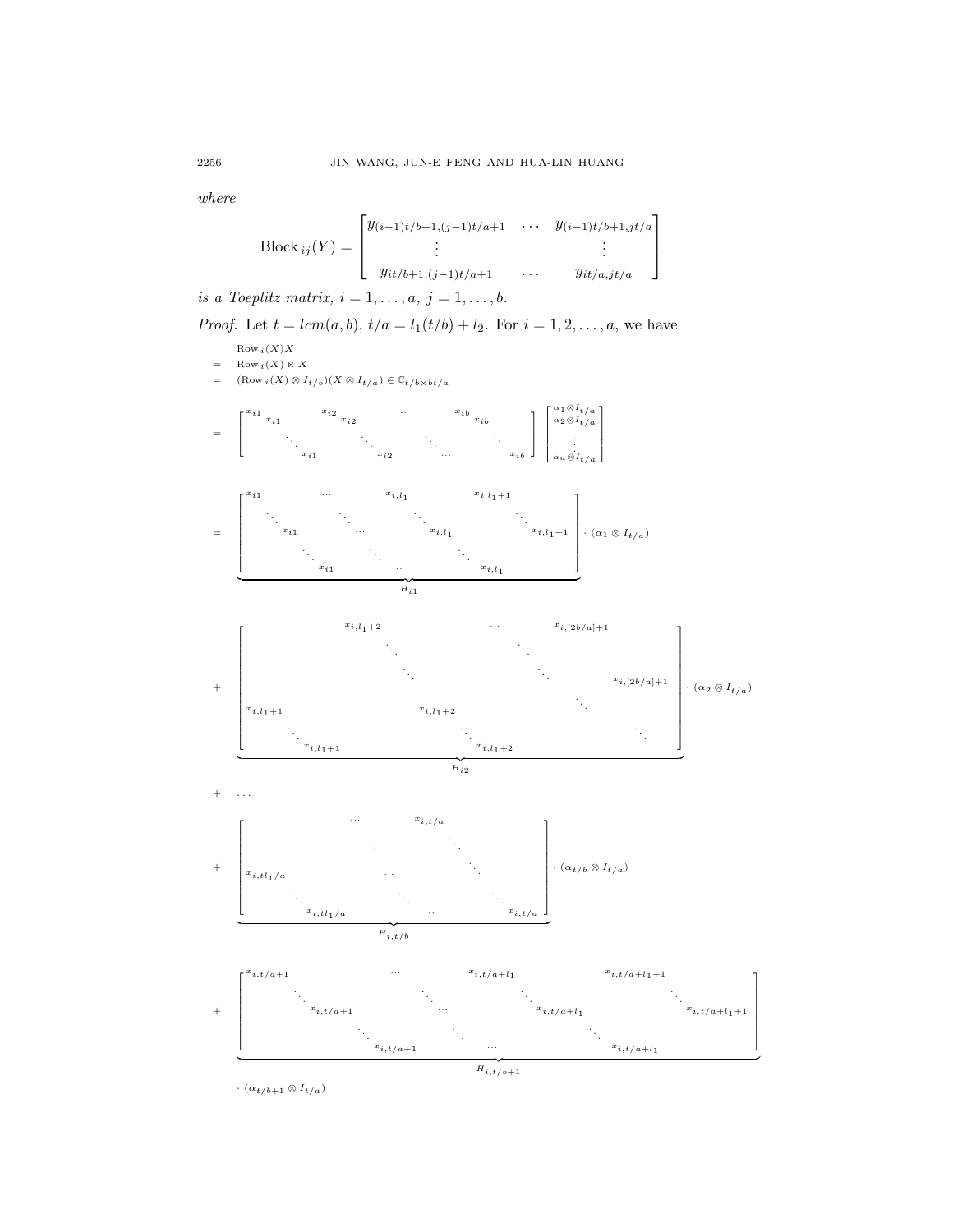where

Block 
$$
_{ij}(Y) = \begin{bmatrix} y_{(i-1)t/b+1,(j-1)t/a+1} & \cdots & y_{(i-1)t/b+1,jt/a} \\ \vdots & \vdots & \vdots \\ y_{it/b+1,(j-1)t/a+1} & \cdots & y_{it/a,jt/a} \end{bmatrix}
$$

is a Toeplitz matrix,  $i = 1, \ldots, a, j = 1, \ldots, b$ .

*Proof.* Let  $t = lcm(a, b)$ ,  $t/a = l_1(t/b) + l_2$ . For  $i = 1, 2, ..., a$ , we have



٦  $\mathbf{I}$  $\mathbf{1}$  $\mathbf{I}$  $\mathbf{I}$  $\mathbf{I}$  $\mathbf{I}$  $\mathbf{I}$  $\mathbf{I}$  $\mathbf{I}$ 

 $\cdot$  ( $\alpha_{t/b+1} \otimes I_{t/a}$ )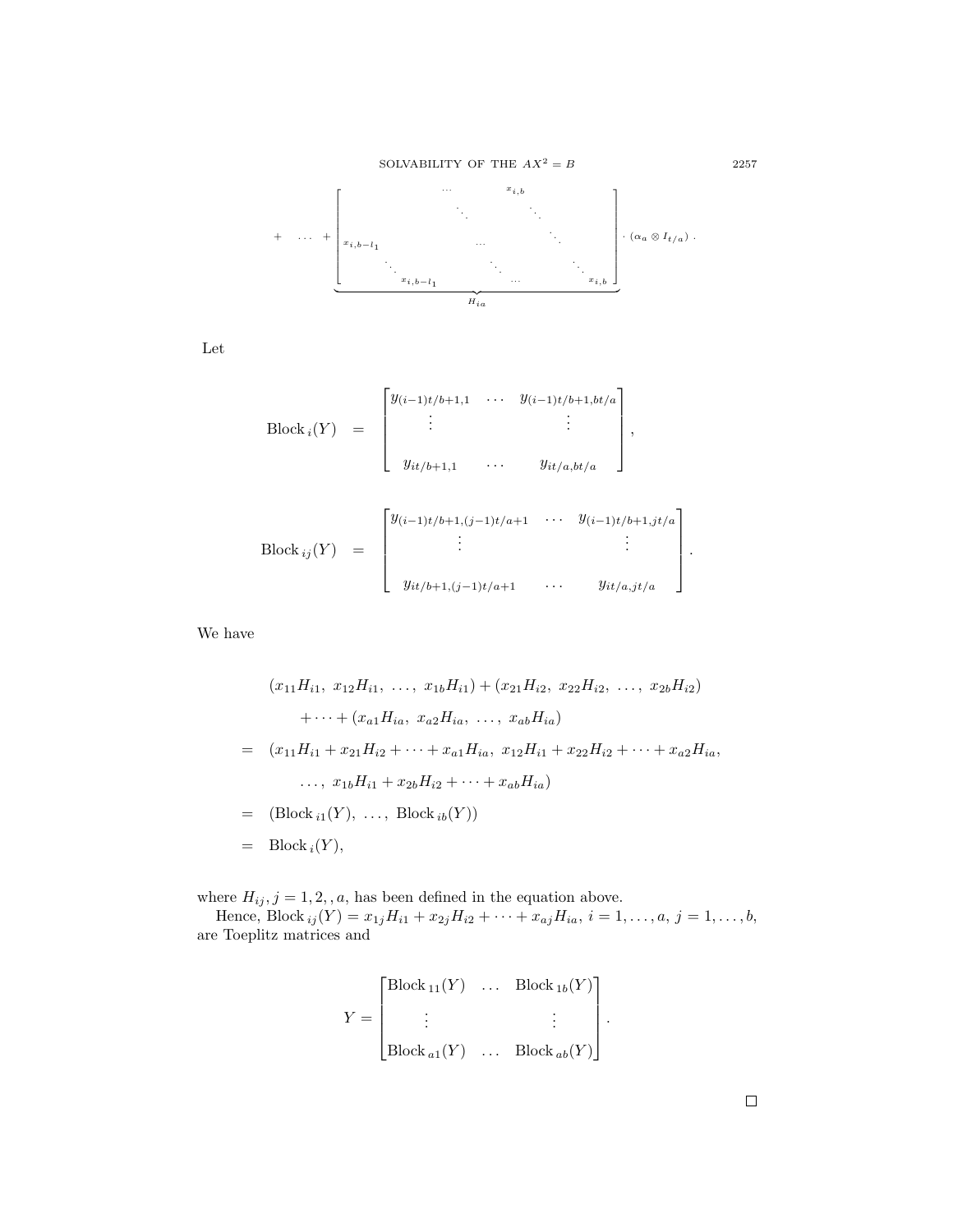

Let

\n
$$
\text{Block}_i(Y) =\n \begin{bmatrix}\n y_{(i-1)t/b+1,1} & \cdots & y_{(i-1)t/b+1, bt/a} \\
 \vdots & & \vdots \\
 y_{it/b+1,1} & \cdots & y_{it/a, bt/a}\n \end{bmatrix},
$$
\n

\n\n $\text{Block}_{ij}(Y) =\n \begin{bmatrix}\n y_{(i-1)t/b+1, (j-1)t/a+1} & \cdots & y_{(i-1)t/b+1, jt/a} \\
 \vdots & & \vdots \\
 y_{it/b+1, (j-1)t/a+1} & \cdots & y_{it/a, jt/a}\n \end{bmatrix}$ \n

We have

$$
(x_{11}H_{i1}, x_{12}H_{i1}, ..., x_{1b}H_{i1}) + (x_{21}H_{i2}, x_{22}H_{i2}, ..., x_{2b}H_{i2})
$$
  

$$
+ \cdots + (x_{a1}H_{ia}, x_{a2}H_{ia}, ..., x_{ab}H_{ia})
$$
  

$$
= (x_{11}H_{i1} + x_{21}H_{i2} + \cdots + x_{a1}H_{ia}, x_{12}H_{i1} + x_{22}H_{i2} + \cdots + x_{a2}H_{ia},
$$
  

$$
..., x_{1b}H_{i1} + x_{2b}H_{i2} + \cdots + x_{ab}H_{ia})
$$
  

$$
= (Block_{i1}(Y), ..., Block_{ib}(Y))
$$
  

$$
= Block_{i}(Y),
$$

where  $H_{ij}$ ,  $j = 1, 2, a$ , has been defined in the equation above.<br>Hence, Block  $_{ij}(Y) = x_{1j}H_{i1} + x_{2j}H_{i2} + \cdots + x_{aj}H_{ia}$ ,  $i = 1, \ldots, a, j = 1, \ldots, b$ , are Toeplitz matrices and

$$
Y = \begin{bmatrix} \text{Block}_{11}(Y) & \dots & \text{Block}_{1b}(Y) \\ \vdots & & \vdots \\ \text{Block}_{a1}(Y) & \dots & \text{Block}_{ab}(Y) \end{bmatrix}.
$$

 $2257\,$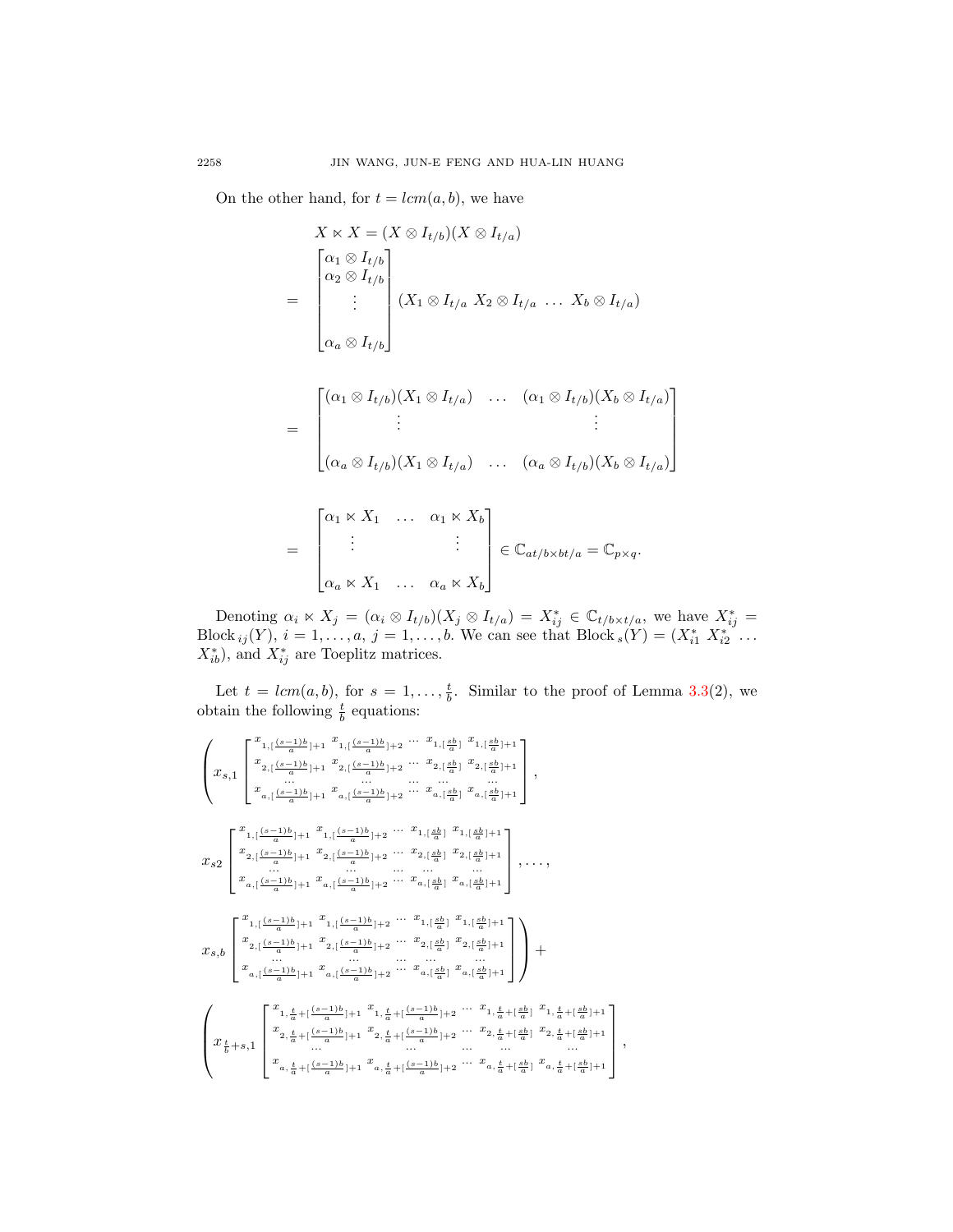On the other hand, for  $t = lcm(a, b)$ , we have

$$
X \ltimes X = (X \otimes I_{t/b})(X \otimes I_{t/a})
$$
  
= 
$$
\begin{bmatrix} \alpha_1 \otimes I_{t/b} \\ \alpha_2 \otimes I_{t/b} \\ \vdots \\ \alpha_a \otimes I_{t/b} \end{bmatrix} (X_1 \otimes I_{t/a} X_2 \otimes I_{t/a} \dots X_b \otimes I_{t/a})
$$

$$
= \begin{bmatrix} (\alpha_1 \otimes I_{t/b})(X_1 \otimes I_{t/a}) & \dots & (\alpha_1 \otimes I_{t/b})(X_b \otimes I_{t/a}) \\ \vdots & & \vdots \\ (\alpha_a \otimes I_{t/b})(X_1 \otimes I_{t/a}) & \dots & (\alpha_a \otimes I_{t/b})(X_b \otimes I_{t/a}) \end{bmatrix}
$$

$$
= \begin{bmatrix} \alpha_1 \ltimes X_1 & \dots & \alpha_1 \ltimes X_b \\ \vdots & & \vdots \\ \alpha_a \ltimes X_1 & \dots & \alpha_a \ltimes X_b \end{bmatrix} \in \mathbb{C}_{at/b \times bt/a} = \mathbb{C}_{p \times q}.
$$

Denoting  $\alpha_i \ltimes X_j = (\alpha_i \otimes I_{t/b})(X_j \otimes I_{t/a}) = X_{ij}^* \in \mathbb{C}_{t/b \times t/a}$ , we have  $X_{ij}^* =$ Block  $_{ij}(Y)$ ,  $i = 1, ..., a$ ,  $j = 1, ..., b$ . We can see that Block  $_s(Y) = (X_{i1}^* X_{i2}^* ...$  $X_{ib}^*$ ), and  $X_{ij}^*$  are Toeplitz matrices.

Let  $t = lcm(a, b)$ , for  $s = 1, \ldots, \frac{t}{b}$ . Similar to the proof of Lemma 3.[3\(](#page-2-1)2), we obtain the following  $\frac{t}{b}$  equations:

$$
\begin{pmatrix} x_{1,1} \frac{(s-1)b}{a} + x_{1,1} \frac{(s-1)b}{a} + 2 \cdots x_{1, \lfloor \frac{kb}{a} \rfloor} x_{1, \lfloor \frac{kb}{a} \rfloor + 1} \\ x_{2,1} \frac{(s-1)b}{a} + x_{2,1} \frac{(s-1)b}{a} + 2 \cdots x_{2, \lfloor \frac{kb}{a} \rfloor} x_{2, \lfloor \frac{kb}{a} \rfloor + 1} \\ x_{a,1} \frac{(s-1)b}{a} + x_{a,1} \frac{(s-1)b}{a} + 2 \cdots x_{a, \lfloor \frac{kb}{a} \rfloor} x_{a, \lfloor \frac{kb}{a} \rfloor + 1} \end{pmatrix},
$$
  
\n
$$
x_{S2} \begin{bmatrix} x_{1,1} \frac{(s-1)b}{a} + x_{1,1} \frac{(s-1)b}{a} + 2 \cdots x_{1, \lfloor \frac{kb}{a} \rfloor} x_{1, \lfloor \frac{kb}{a} \rfloor + 1} \\ x_{2,1} \frac{(s-1)b}{a} + x_{2,1} \frac{(s-1)b}{a} + 2 \cdots x_{2, \lfloor \frac{kb}{a} \rfloor} x_{2,1} \frac{sb}{a} + 1 \\ x_{a,1} \frac{(s-1)b}{a} + x_{a,1} \frac{(s-1)b}{a} + 2 \cdots x_{a, \lfloor \frac{kb}{a} \rfloor} x_{a,1} \frac{sb}{a} + 1 \\ x_{a,1} \frac{(s-1)b}{a} + x_{a,1} \frac{(s-1)b}{a} + 2 \cdots x_{a, \lfloor \frac{kb}{a} \rfloor} x_{a,1} \frac{sb}{a} + 1 \\ x_{s,b} \begin{bmatrix} x_{1,1} \frac{(s-1)b}{a} + x_{1,1} \frac{(s-1)b}{a} + 2 \cdots x_{1, \lfloor \frac{kb}{a} \rfloor} x_{1,1} \frac{sb}{a} + 1 \\ x_{a,1} \frac{(s-1)b}{a} + x_{a,1} \frac{(s-1)b}{a} + 2 \cdots x_{a, \lfloor \frac{kb}{a} \rfloor} x_{1,1} \frac{sb}{a} + 1 \\ x_{a,1} \frac{(s-1)b}{a} + x_{a,1} \frac{(s-1
$$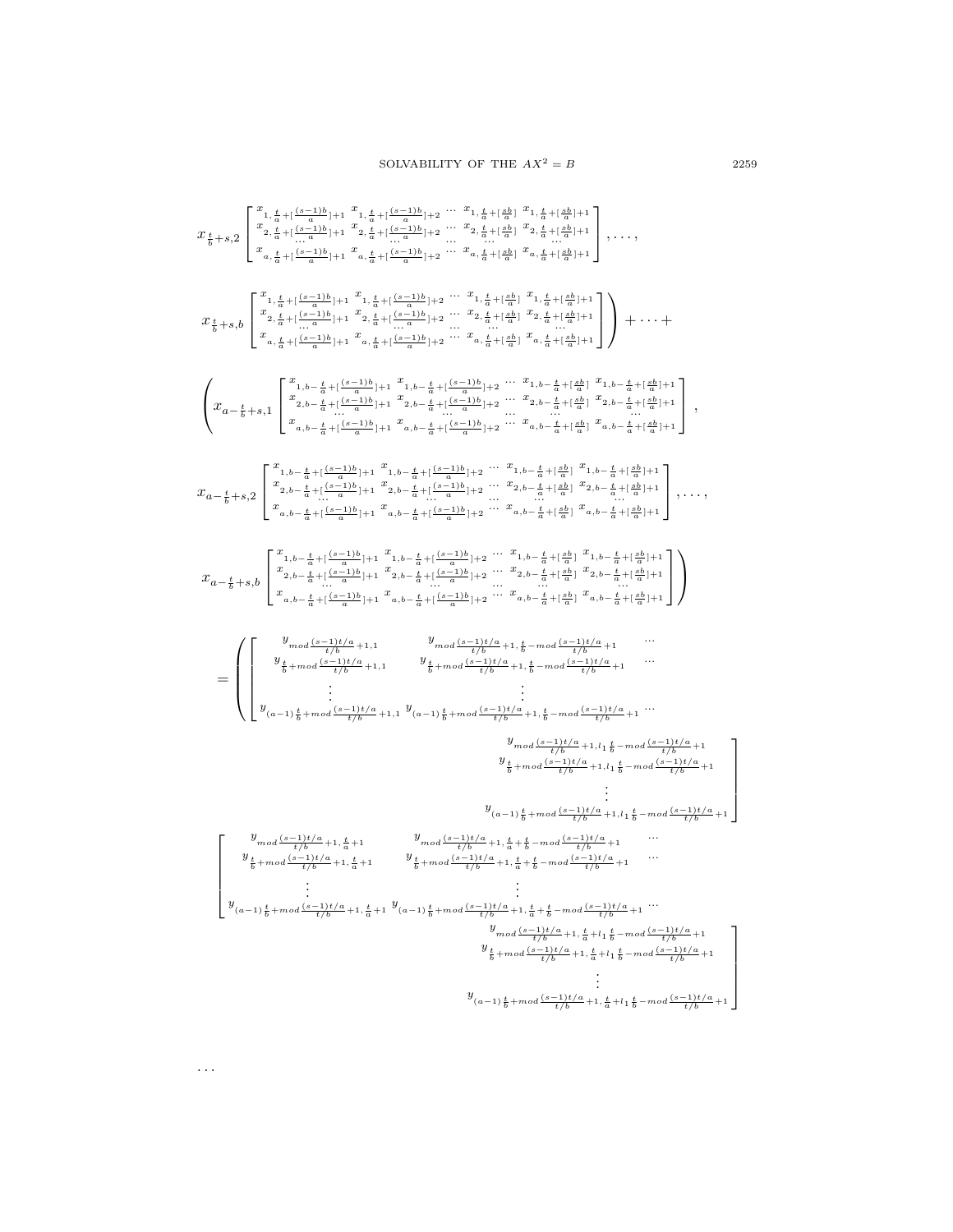$$
x_{\frac{t}{b}+s,2} \begin{bmatrix} \frac{x_{1,\frac{t}{a}+(i\frac{t-1}{a})b+1}{x_{1,\frac{t}{a}+i\frac{a-1b}{b}+1}} + \frac{x_{1,\frac{t}{a}+i\frac{a-1b}{b}+2}{x_{1,\frac{t}{a}+i\frac{a-1b}{b}+1}} + \frac{x_{1,\frac{t}{a}+i\frac{a-1b}{b}+2}{x_{1,\frac{t}{a}+i\frac{a-1b}{b}+1}} + \frac{x_{2,\frac{t}{a}+i\frac{a-1b}{b}+1}{x_{2,\frac{t}{a}+i\frac{a-1b}{b}+1}} + \frac{x_{2,\frac{t}{a}+i\frac{a-1b}{b}+1}{x_{2,\frac{t}{a}+i\frac{a-1b}{b}+1}} + \cdots - x_{2,\frac{t}{a}+i\frac{a-1b}{b}+1} \\ x_{\frac{t}{a}+s,1} \begin{bmatrix} \frac{x_{1,\frac{t}{a}+i\frac{c-1b}{a}+1}{x_{1,\frac{t}{a}+i\frac{c-1b}{a}+1}} + \frac{x_{1,\frac{t}{a}+i\frac{c-1b}{a}+1}{x_{1,\frac{t}{a}+i\frac{c-1b}{a}+1}} + \cdots - x_{1,\frac{t}{a}+i\frac{a-1b}{b}+1} \\ x_{1,\frac{t}{a}+i\frac{c-1b}{a}+1} + \frac{x_{1,\frac{t}{a}+i\frac{c-1b}{a}+1}{x_{2,\frac{t}{a}+i\frac{c-1b}{a}+1}} + \cdots - x_{1,\frac{t}{a}+i\frac{a-1b}{b}+1} \\ x_{2,\frac{t}{a}+i\frac{c-1b}{a}+1} + \frac{x_{2,\frac{t}{a}+i\frac{c-1b}{a}+1}{x_{2,\frac{t}{a}+i\frac{c-1b}{a}+1}} + \cdots - x_{2,\frac{t}{a}+i\frac{a-1b}{b}+1} \\ x_{2,\frac{t}{a}+i\frac{c-1b}{a}+1} + \frac{x_{2,\frac{t}{a}+i\frac{c-1b}{b}+1}{x_{2,\frac{t}{a}+i\frac{c-
$$

. . .

1  $\overline{1}$  $\overline{1}$  $\overline{1}$  $\mathbf{I}$ 

1  $\overline{1}$  $\overline{1}$  $\overline{1}$  $\overline{1}$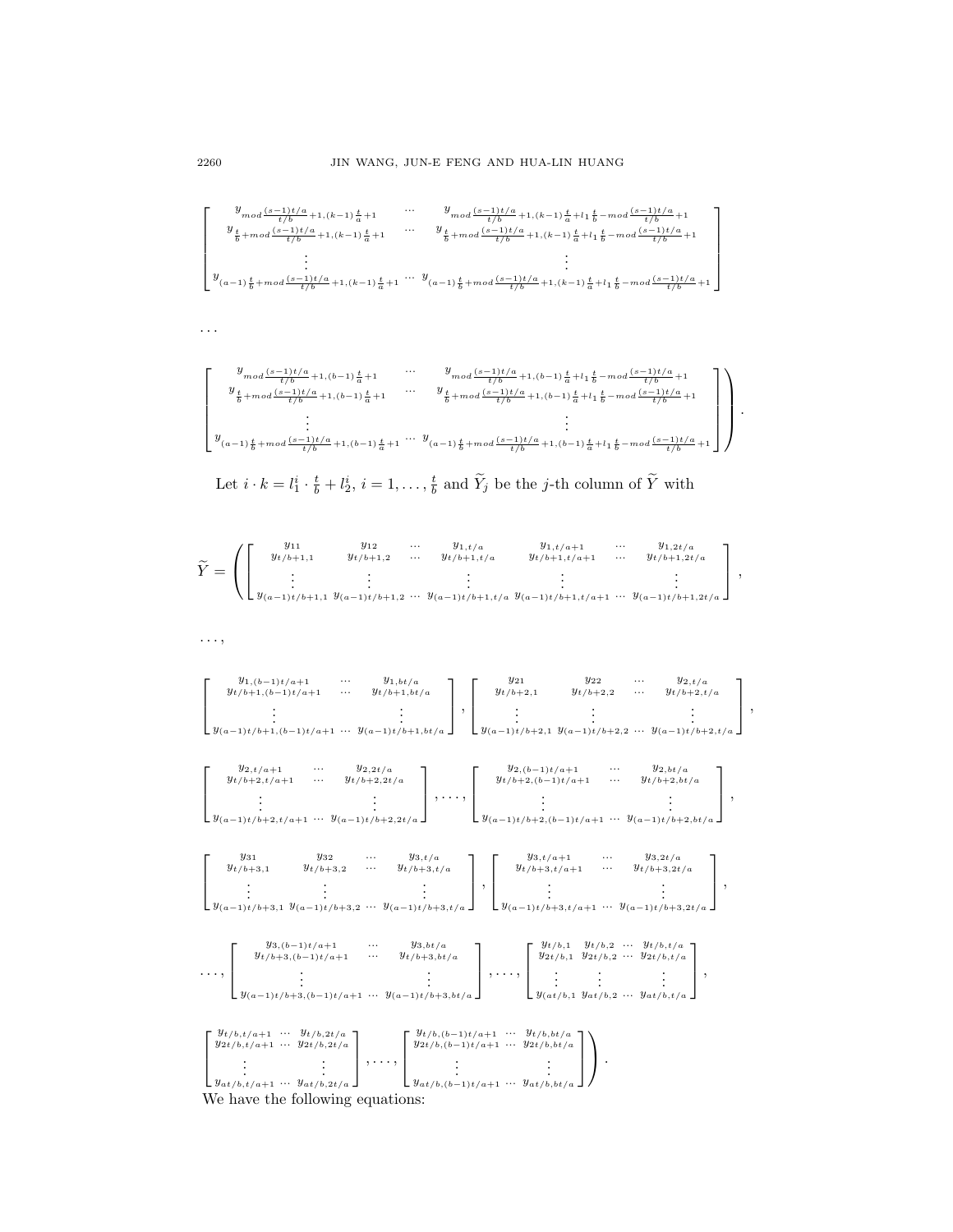$$
\left[ \begin{array}{cccc} y_{mod} \frac{(s-1)t/a}{t/b} + 1, (k-1) \frac{t}{a} + 1 & \cdots & y_{mod} \frac{(s-1)t/a}{t/b} + 1, (k-1) \frac{t}{a} + l_1 \frac{t}{b} - mod \frac{(s-1)t/a}{t/b} + 1 \\ y_{\frac{t}{b}+mod} \frac{(s-1)t/a}{t/b} + 1, (k-1) \frac{t}{a} + 1 & \cdots & y_{\frac{t}{b}+mod} \frac{(s-1)t/a}{t/b} + 1, (k-1) \frac{t}{a} + l_1 \frac{t}{b} - mod \frac{(s-1)t/a}{t/b} + 1 \\ & \vdots & \vdots & \vdots \\ y_{(a-1)\frac{t}{b}+mod} \frac{(s-1)t/a}{t/b} + 1, (k-1) \frac{t}{a} + 1 & \cdots & y_{(a-1)\frac{t}{b}+mod} \frac{(s-1)t/a}{t/b} + 1, (k-1) \frac{t}{a} + l_1 \frac{t}{b} - mod \frac{(s-1)t/a}{t/b} + 1 \end{array} \right]
$$

$$
\left[ \begin{array}{cccc} y_{mod}\frac{(s-1)t/a}{t/b} + 1, (b-1)\frac{t}{a} + 1 & \cdots & y_{mod}\frac{(s-1)t/a}{t/b} + 1, (b-1)\frac{t}{a} + l_1\frac{t}{b} - mod\frac{(s-1)t/a}{t/b} + 1 \\ y_{\frac{t}{b}+mod}\frac{(s-1)t/a}{t/b} + 1, (b-1)\frac{t}{a} + 1 & \cdots & y_{\frac{t}{b}+mod}\frac{(s-1)t/a}{t/b} + 1, (b-1)\frac{t}{a} + l_1\frac{t}{b} - mod\frac{(s-1)t/a}{t/b} + 1 \\ \vdots & \vdots & \vdots \\ y_{(a-1)\frac{t}{b}+mod}\frac{(s-1)t/a}{t/b} + 1, (b-1)\frac{t}{a} + 1 & \cdots & y_{(a-1)\frac{t}{b}+mod}\frac{(s-1)t/a}{t/b} + 1, (b-1)\frac{t}{a} + l_1\frac{t}{b} - mod\frac{(s-1)t/a}{t/b} + 1 \end{array} \right] \ .
$$

Let 
$$
i \cdot k = l_1^i \cdot \frac{t}{b} + l_2^i
$$
,  $i = 1, ..., \frac{t}{b}$  and  $\widetilde{Y}_j$  be the *j*-th column of  $\widetilde{Y}$  with

$$
\widetilde{Y} = \left( \begin{bmatrix} y_{11} & y_{12} & \dots & y_{1,t/a} & y_{1,t/a+1} & \dots & y_{1,2t/a} \\ y_{t/b+1,1} & y_{t/b+1,2} & \dots & y_{t/b+1,t/a} & y_{t/b+1,t/a+1} & \dots & y_{t/b+1,2t/a} \\ \vdots & \vdots & & \vdots & & \vdots \\ y_{(a-1)t/b+1,1} & y_{(a-1)t/b+1,2} & \dots & y_{(a-1)t/b+1,t/a} & y_{(a-1)t/b+1,t/a+1} & \dots & y_{(a-1)t/b+1,2t/a} \end{bmatrix} \right),
$$

. . . ,

$$
\begin{bmatrix}\ny_{1,(b-1)t/a+1} & \cdots & y_{1,bt/a} \\
y_{t/b+1,(b-1)t/a+1} & \cdots & y_{t/b+1,bt/a} \\
\vdots & \vdots & \vdots \\
y_{(a-1)t/b+1,(b-1)t/a+1} & \cdots & y_{(a-1)t/b+1,bt/a}\n\end{bmatrix}, \begin{bmatrix}\ny_{21} & y_{22} & \cdots & y_{2,t/a} \\
y_{t/b+2,1} & y_{t/b+2,2} & \cdots & y_{t/b+2,t/a} \\
\vdots & \vdots & \ddots & \vdots \\
y_{(a-1)t/b+2,t/a+1} & \cdots & y_{a-1t/b+1,bt/a}\n\end{bmatrix},
$$
\n
$$
\begin{bmatrix}\ny_{2,(b-1)t/b+2,1} & y_{2,2t/a} & \cdots & y_{(a-1)t/b+2,2t/a} \\
y_{t/b+2,t/a+1} & \cdots & y_{t/b+2,2t/a} & \cdots & y_{t/b+2,(b-1)t/a+1} & \cdots & y_{t/b+2,bt/a} \\
\vdots & \vdots & \ddots & \vdots \\
y_{(a-1)t/b+2,t/a+1} & \cdots & y_{(a-1)t/b+2,2t/a}\n\end{bmatrix}, \dots, \begin{bmatrix}\ny_{2,(b-1)t/a+1} & \cdots & y_{2,bt/a} & \cdots & y_{t/b+2,bt/a} \\
y_{(a-1)t/b+2,(b-1)t/a+1} & \cdots & y_{(a-1)t/b+2,bt/a} & \cdots & \vdots \\
y_{(a-1)t/b+3,1} & y_{(a-1)t/b+3,2} & \cdots & y_{(a-1)t/b+3,t/a}\n\end{bmatrix}, \begin{bmatrix}\ny_{3,1/a+1} & \cdots & y_{3,2t/a} & \cdots & \vdots \\
y_{(a-1)t/b+3,1/a+1} & \cdots & y_{(a-1)t/b+3,2t/a} & \cdots & \vdots \\
y_{(a-1)t/b+3,1/a+1} & \cdots & y_{(a-1)t/b+3,2t/a}\n\end{bmatrix},
$$

|          | $y_{3,(b-1)t/a+1}$<br>$y_{t/b+3,(b-1)t/a+1}$               | $\cdots$<br>$\cdots$ | $y_{3,bt/a}$<br>$y_{t/b+3, bt/a}$ | $y_{t/b,1}$ | $y_{t/b,2}$ | $y_{t/b, t/a}$<br>$y_{2t/b,1}$ $y_{2t/b,2}$ $\cdots$ $y_{2t/b,t/a}$ |  |
|----------|------------------------------------------------------------|----------------------|-----------------------------------|-------------|-------------|---------------------------------------------------------------------|--|
| $\cdots$ | $y_{(a-1)t/b+3,(b-1)t/a+1}$ $\cdots$ $y_{(a-1)t/b+3,bt/a}$ |                      |                                   |             |             | $\bigcup y_{(at/b,1} y_{at/b,2} \dots y_{at/b,t/a} \big]$           |  |

| $y_{t/b,t/a+1}$ $y_{t/b,2t/a}$<br>$y_{2t/b, t/a+1}$ $y_{2t/b, 2t/a}$ | $\int y_t/b,(b-1)t/a+1$ $y_t/b,bt/a$ ]<br>$y_{2t/b,(b-1)t/a+1}$ $y_{2t/b,bt/a}$ |  |
|----------------------------------------------------------------------|---------------------------------------------------------------------------------|--|
| $y_{at/b,t/a+1} \dots y_{at/b,2t/a}$                                 | $\bigcup y_{at/b,(b-1)t/a+1} \cdots y_{at/b,bt/a} \big]$                        |  |

We have the following equations:

. . .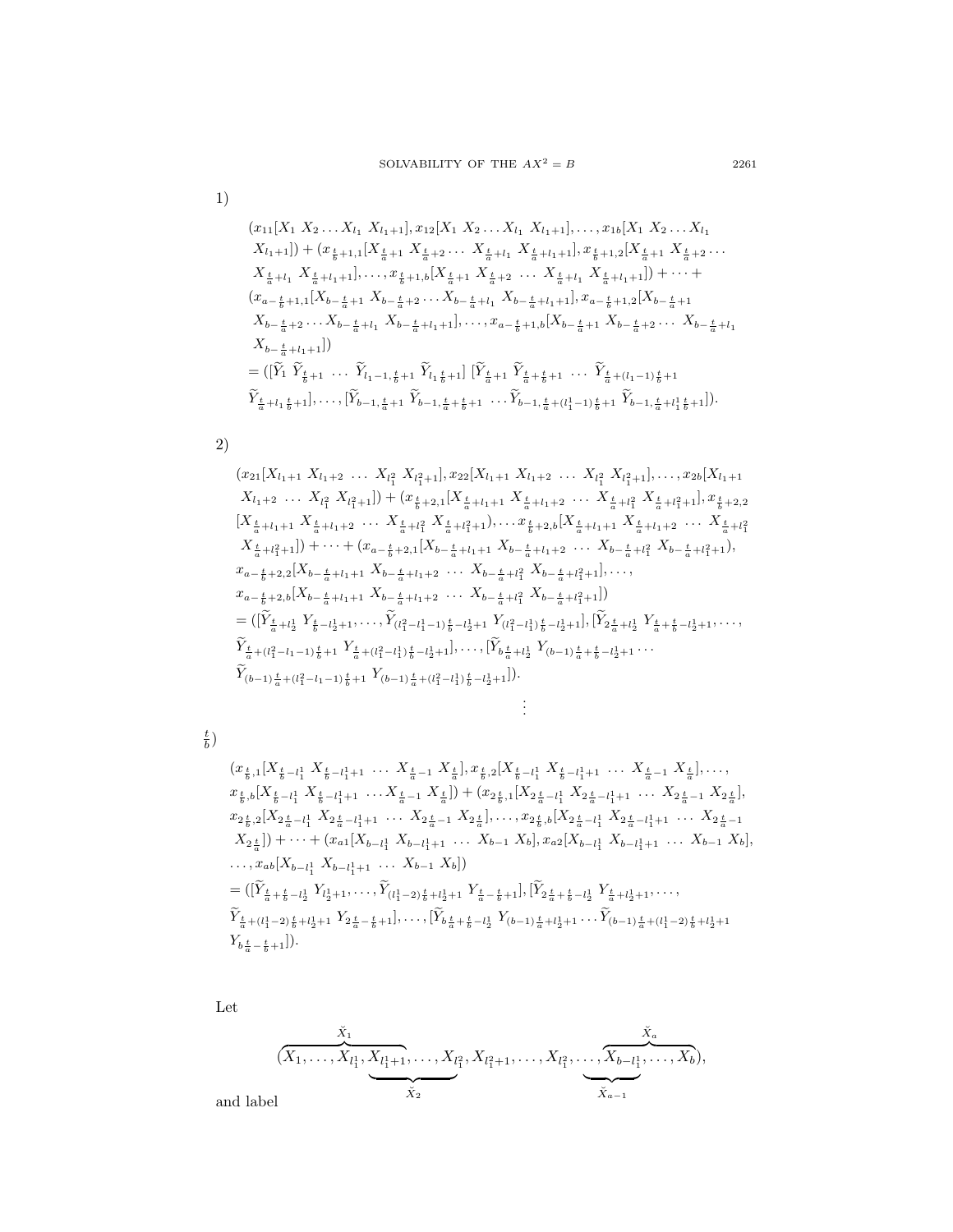$$
1)
$$

$$
(x_{11}[X_1 \ X_2 \dots X_{l_1} \ X_{l_1+1}], x_{12}[X_1 \ X_2 \dots X_{l_1} \ X_{l_1+1}], \dots, x_{1b}[X_1 \ X_2 \dots X_{l_1} \ X_{l_1+1}]) + (x_{\frac{t}{b}+1,1}[X_{\frac{t}{a}+1} \ X_{\frac{t}{a}+2} \dots \ X_{\frac{t}{a}+l_1} \ X_{\frac{t}{a}+l_1+1}], x_{\frac{t}{b}+1,2}[X_{\frac{t}{a}+1} \ X_{\frac{t}{a}+2} \dots \ X_{\frac{t}{a}+l_1+1}], \dots, x_{\frac{t}{b}+1,b}[X_{\frac{t}{a}+1} \ X_{\frac{t}{a}+1} \ X_{\frac{t}{a}+l_1+1}]] + \dots + (x_{a-\frac{t}{b}+1,1}[X_{b-\frac{t}{a}+1} \ X_{b-\frac{t}{a}+2} \dots X_{b-\frac{t}{a}+l_1} \ X_{b-\frac{t}{a}+l_1+1}], x_{a-\frac{t}{b}+1,2}[X_{b-\frac{t}{a}+1} \ X_{b-\frac{t}{a}+2} \dots X_{b-\frac{t}{a}+l_1} \ X_{b-\frac{t}{a}+l_1+1}], \dots, x_{a-\frac{t}{b}+1,b}[X_{b-\frac{t}{a}+1} \ X_{b-\frac{t}{a}+2} \dots \ X_{b-\frac{t}{a}+l_1+1}])
$$
\n
$$
= ([\widetilde{Y}_1 \ \ \widetilde{Y}_{\frac{t}{b}+1} \ \ \dots \ \ \widetilde{Y}_{l_1-1,\frac{t}{b}+1} \ \ \widetilde{Y}_{l_1,\frac{t}{b}+1}]\ [\widetilde{Y}_{\frac{t}{a}+1} \ \ \widetilde{Y}_{\frac{t}{a}+1} \ \ \dots \ \ \widetilde{Y}_{\frac{t}{a}+(l_1-1)\frac{t}{b}+1}]\ \ \widetilde{Y}_{\frac{t}{a}+l_1,\frac{t}{b}+1}], \dots, (\widetilde{Y}_{b-1,\frac{t}{a}+1} \ \ \widetilde{Y}_{b-1,\frac{t}{a}+1} \ \ \widetilde{Y}_{b-1,\frac{
$$

2)

$$
(x_{21}[X_{l_1+1} X_{l_1+2} \ldots X_{l_1^2} X_{l_1^2+1}], x_{22}[X_{l_1+1} X_{l_1+2} \ldots X_{l_1^2} X_{l_1^2+1}], \ldots, x_{2b}[X_{l_1+1} X_{l_1+2} \ldots X_{l_1^2} X_{l_1^2+1}]) + (x_{\frac{t}{b}+2,1}[X_{\frac{t}{a}+l_1+1} X_{\frac{t}{a}+l_1+2} \ldots X_{\frac{t}{a}+l_1^2} X_{\frac{t}{a}+l_1^2+1}], x_{\frac{t}{b}+2,2}[X_{\frac{t}{a}+l_1+2} \ldots X_{\frac{t}{a}+l_1^2} X_{\frac{t}{a}+l_1^2+1}], \ldots, x_{\frac{t}{b}+2,2}[X_{\frac{t}{a}+l_1+2} \ldots X_{\frac{t}{a}+l_1^2} X_{\frac{t}{a}+l_1^2+1}], \ldots, x_{\frac{t}{b}+2,2}[X_{\frac{t}{a}+l_1+2} \ldots X_{\frac{t}{a}+l_1^2} X_{\frac{t}{a}+l_1^2+1}], \ldots, x_{\frac{t}{a}+l_1^2+1}] + \cdots + (x_{a-\frac{t}{b}+2,1}[X_{b-\frac{t}{a}+l_1+1} X_{b-\frac{t}{a}+l_1+2} \ldots X_{b-\frac{t}{a}+l_1^2} X_{b-\frac{t}{a}+l_1^2} X_{b-\frac{t}{a}+l_1^2} X_{b-\frac{t}{a}+l_1^2+1}],
$$
  
\n
$$
x_{a-\frac{t}{b}+2,2}[X_{b-\frac{t}{a}+l_1+1} X_{b-\frac{t}{a}+l_1+2} \ldots X_{b-\frac{t}{a}+l_1^2} X_{b-\frac{t}{a}+l_1^2+1}], \ldots, x_{a-\frac{t}{b}+2,2}[X_{b-\frac{t}{a}+l_1+1} X_{b-\frac{t}{a}+l_1+2} \ldots X_{b-\frac{t}{a}+l_1^2} X_{b-\frac{t}{a}+
$$

 $\frac{t}{b}\big)$ 

$$
(x_{\frac{t}{b},1}[X_{\frac{t}{b}-l_{1}^{1}} X_{\frac{t}{b}-l_{1}^{1+1}} \dots X_{\frac{t}{a}-1} X_{\frac{t}{a}}], x_{\frac{t}{b},2}[X_{\frac{t}{b}-l_{1}^{1}} X_{\frac{t}{b}-l_{1}^{1+1}} \dots X_{\frac{t}{a}-1} X_{\frac{t}{a}}], \dots, x_{\frac{t}{b},b}[X_{\frac{t}{b}-l_{1}^{1}} X_{\frac{t}{b}-l_{1}^{1+1}} \dots X_{\frac{t}{a}-1} X_{\frac{t}{a}}]) + (x_{2_{\frac{t}{b},1}}[X_{2_{\frac{t}{a}-l_{1}^{1}} X_{2_{\frac{t}{a}-l_{1}^{1}+1}} \dots X_{2_{\frac{t}{a}-1}^{1} X_{2_{\frac{t}{a}}^{1}}],x_{2_{\frac{t}{b},2}}[X_{2_{\frac{t}{a}-l_{1}^{1}} X_{2_{\frac{t}{a}-l_{1}^{1}+1}} \dots X_{2_{\frac{t}{a}-1} X_{2_{\frac{t}{a}}}], \dots, x_{2_{\frac{t}{b},b}}[X_{2_{\frac{t}{a}-l_{1}^{1}} X_{2_{\frac{t}{a}-l_{1}^{1}+1}} \dots X_{2_{\frac{t}{a}-1}^{t}}]X_{2_{\frac{t}{a}}}] + \cdots + (x_{a1}[X_{b-l_{1}^{1}} X_{b-l_{1}^{1+1}} \dots X_{b-1} X_{b}], x_{a2}[X_{b-l_{1}^{1}} X_{b-l_{1}^{1+1}} \dots X_{b-1} X_{b}],\cdots, x_{ab}[X_{b-l_{1}^{1}} X_{b-l_{1}^{1+1}} \dots X_{b-1} X_{b}])
$$
  
= 
$$
([\widetilde{Y}_{\frac{t}{a}+\frac{t}{b}-l_{2}^{1}} Y_{l_{2}^{1+1}} \dots, \widetilde{Y}_{(l_{1}^{1}-2)\frac{t}{b}+l_{2}^{1+1}} Y_{\frac{t}{a}-\frac{t}{b}+1}], [\widetilde{Y}_{2_{\frac{t}{a}+\frac{t}{b}-l_{2}^{1}} Y_{\frac{t}{a}+l_{2}^{1+1}} \dots, \widetilde{Y
$$

 ${\rm Let}$ 

$$
(\overbrace{X_1, \ldots, X_{l_1^1}, X_{l_1^1+1}, \ldots, X_{l_1^2}}^{\tilde{X}_1}, X_{l_1^2+1}, \ldots, X_{l_1^2}, \ldots, \overbrace{X_{b-l_1^1}^1, \ldots, X_b}^{\tilde{X}_a}),
$$
el

and labe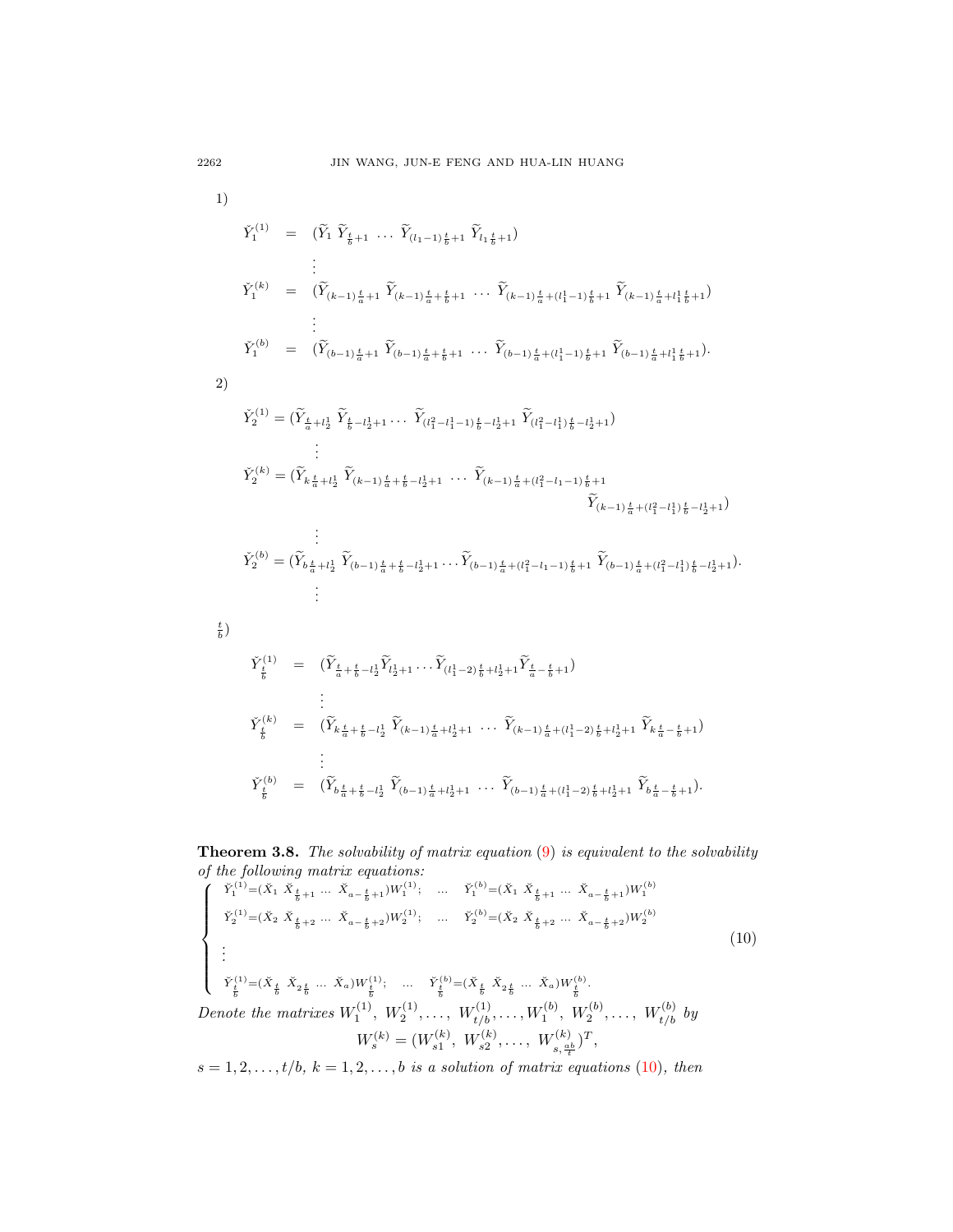$$
\check{Y}_{1}^{(1)} = (\widetilde{Y}_{1} \ \widetilde{Y}_{\frac{t}{b}+1} \ \cdots \ \widetilde{Y}_{(l_{1}-1)\frac{t}{b}+1} \ \widetilde{Y}_{l_{1}\frac{t}{b}+1})
$$
\n
$$
\vdots
$$
\n
$$
\check{Y}_{1}^{(k)} = (\widetilde{Y}_{(k-1)\frac{t}{a}+1} \ \widetilde{Y}_{(k-1)\frac{t}{a}+\frac{t}{b}+1} \ \cdots \ \widetilde{Y}_{(k-1)\frac{t}{a}+(l_{1}^{1}-1)\frac{t}{b}+1} \ \widetilde{Y}_{(k-1)\frac{t}{a}+l_{1}\frac{t}{b}+1})
$$
\n
$$
\vdots
$$
\n
$$
\check{Y}_{1}^{(b)} = (\widetilde{Y}_{(b-1)\frac{t}{a}+1} \ \widetilde{Y}_{(b-1)\frac{t}{a}+\frac{t}{b}+1} \ \cdots \ \widetilde{Y}_{(b-1)\frac{t}{a}+(l_{1}^{1}-1)\frac{t}{b}+1} \ \widetilde{Y}_{(b-1)\frac{t}{a}+l_{1}\frac{t}{b}+1}).
$$

2)

$$
\check{Y}_{2}^{(1)} = (\widetilde{Y}_{\frac{t}{a}+l_{2}^{1}} \ \widetilde{Y}_{\frac{t}{b}-l_{2}^{1}+1} \dots \ \widetilde{Y}_{(l_{1}^{2}-l_{1}^{1}-1)\frac{t}{b}-l_{2}^{1}+1} \ \widetilde{Y}_{(l_{1}^{2}-l_{1}^{1})\frac{t}{b}-l_{2}^{1}+1})
$$
\n
$$
\vdots
$$
\n
$$
\check{Y}_{2}^{(k)} = (\widetilde{Y}_{k\frac{t}{a}+l_{2}^{1}} \ \widetilde{Y}_{(k-1)\frac{t}{a}+\frac{t}{b}-l_{2}^{1}+1} \ \dots \ \widetilde{Y}_{(k-1)\frac{t}{a}+(l_{1}^{2}-l_{1}-1)\frac{t}{b}+1} \ \widetilde{Y}_{(k-1)\frac{t}{a}+(l_{1}^{2}-l_{1}^{1})\frac{t}{b}-l_{2}^{1}+1})
$$

$$
\check{Y}_{2}^{(b)} = (\widetilde{Y}_{b\frac{t}{a}+l\frac{1}{2}}\ \widetilde{Y}_{(b-1)\frac{t}{a}+\frac{t}{b}-l\frac{1}{2}+1}\dots \widetilde{Y}_{(b-1)\frac{t}{a}+(l_{1}^{2}-l_{1}-1)\frac{t}{b}+1}\ \widetilde{Y}_{(b-1)\frac{t}{a}+(l_{1}^{2}-l_{1}^{1})\frac{t}{b}-l_{2}^{1}+1})
$$
\n
$$
\vdots
$$

 $\frac{t}{b}\big)$ 

$$
\check{Y}_{\frac{t}{b}}^{(1)} = (\widetilde{Y}_{\frac{t}{a} + \frac{t}{b} - l_{2}^{1}} \widetilde{Y}_{l_{2}^{1} + 1} \dots \widetilde{Y}_{(l_{1}^{1} - 2)\frac{t}{b} + l_{2}^{1} + 1} \widetilde{Y}_{\frac{t}{a} - \frac{t}{b} + 1})
$$
\n
$$
\vdots
$$
\n
$$
\check{Y}_{\frac{t}{b}}^{(k)} = (\widetilde{Y}_{k\frac{t}{a} + \frac{t}{b} - l_{2}^{1}} \widetilde{Y}_{(k-1)\frac{t}{a} + l_{2}^{1} + 1} \dots \widetilde{Y}_{(k-1)\frac{t}{a} + (l_{1}^{1} - 2)\frac{t}{b} + l_{2}^{1} + 1} \widetilde{Y}_{k\frac{t}{a} - \frac{t}{b} + 1})
$$
\n
$$
\vdots
$$
\n
$$
\check{Y}_{\frac{t}{b}}^{(b)} = (\widetilde{Y}_{b\frac{t}{a} + \frac{t}{b} - l_{2}^{1}} \widetilde{Y}_{(b-1)\frac{t}{a} + l_{2}^{1} + 1} \dots \widetilde{Y}_{(b-1)\frac{t}{a} + (l_{1}^{1} - 2)\frac{t}{b} + l_{2}^{1} + 1} \widetilde{Y}_{b\frac{t}{a} - \frac{t}{b} + 1}).
$$

**Theorem 3.8.** The solvability of matrix equation  $(9)$  is equivalent to the solvability  $\it{of}$  the following matrix equations:

<span id="page-13-0"></span>
$$
\begin{cases}\n\check{Y}_{1}^{(1)} = (\check{X}_{1} \; \check{X}_{\frac{t}{b}+1} \; ... \; \check{X}_{a-\frac{t}{b}+1}) W_{1}^{(1)}; \quad ... \quad \check{Y}_{1}^{(b)} = (\check{X}_{1} \; \check{X}_{\frac{t}{b}+1} \; ... \; \check{X}_{a-\frac{t}{b}+1}) W_{1}^{(b)} \\
\check{Y}_{2}^{(1)} = (\check{X}_{2} \; \check{X}_{\frac{t}{b}+2} \; ... \; \check{X}_{a-\frac{t}{b}+2}) W_{2}^{(1)}; \quad ... \quad \check{Y}_{2}^{(b)} = (\check{X}_{2} \; \check{X}_{\frac{t}{b}+2} \; ... \; \check{X}_{a-\frac{t}{b}+2}) W_{2}^{(b)} \\
\vdots \\
\check{Y}_{\frac{t}{b}}^{(1)} = (\check{X}_{\frac{t}{b}} \; \check{X}_{2\frac{t}{b}} \; ... \; \check{X}_{a}) W_{\frac{t}{b}}^{(1)}; \quad ... \quad \check{Y}_{\frac{t}{b}}^{(b)} = (\check{X}_{\frac{t}{b}} \; \check{X}_{2\frac{t}{b}} \; ... \; \check{X}_{a}) W_{\frac{t}{b}}^{(b)} \\
\text{Denote the matrices } W_{1}^{(1)}, \; W_{2}^{(1)}, \dots, \; W_{t/b}^{(1)}, \dots, W_{1}^{(b)}, \; W_{2}^{(b)}, \dots, \; W_{t/b}^{(b)} \; by \\
\; W_{s}^{(k)} = (W_{s1}^{(k)}, \; W_{s2}^{(k)}, \dots, \; W_{s,\frac{a}{t}}^{(k)})^{T},\n\end{cases}
$$
\n(10)

 $s = 1, 2, \ldots, t/b, k = 1, 2, \ldots, b$  is a solution of matrix equations (10), then

 $2262\,$ 

1)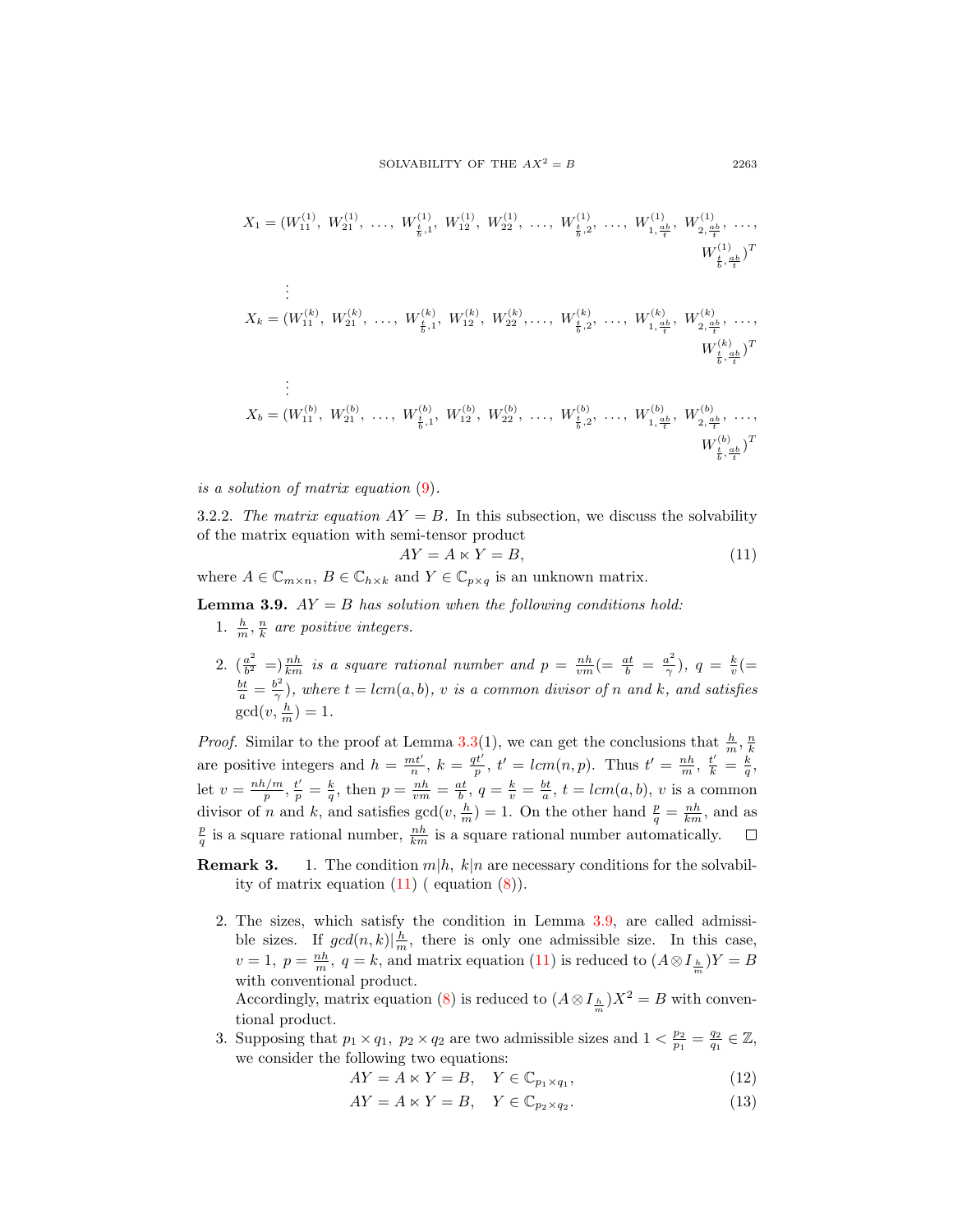$$
X_1 = (W_{11}^{(1)}, W_{21}^{(1)}, \dots, W_{\frac{t}{b},1}^{(1)}, W_{12}^{(1)}, W_{22}^{(1)}, \dots, W_{\frac{t}{b},2}^{(1)}, \dots, W_{1,\frac{ab}{t}}, W_{2,\frac{ab}{t}}^{(1)}, \dots, W_{\frac{t}{b},\frac{ab}{t}}^{(1)})
$$
  
\n
$$
\vdots
$$
  
\n
$$
X_k = (W_{11}^{(k)}, W_{21}^{(k)}, \dots, W_{\frac{t}{b},1}^{(k)}, W_{12}^{(k)}, W_{22}^{(k)}, \dots, W_{\frac{t}{b},2}^{(k)}, \dots, W_{1,\frac{ab}{t}}, W_{2,\frac{ab}{t}}^{(k)}, \dots, W_{\frac{t}{b},\frac{ab}{t}}^{(k)})^T
$$
  
\n
$$
\vdots
$$
  
\n
$$
X_b = (W_{11}^{(b)}, W_{21}^{(b)}, \dots, W_{\frac{t}{b},1}^{(b)}, W_{12}^{(b)}, W_{22}^{(b)}, \dots, W_{\frac{t}{b},2}^{(b)}, \dots, W_{1,\frac{ab}{t}}, W_{2,\frac{ab}{t}}^{(b)}, \dots, W_{\frac{t}{b},\frac{ab}{t}}^{(b)})^T
$$
  
\n
$$
\vdots
$$
  
\n
$$
W_{\frac{t}{b},\frac{ab}{t}}^{(b)}, W_{21}^{(b)}, \dots, W_{\frac{t}{b},1}^{(b)}, W_{12}^{(b)}, W_{22}^{(b)}, \dots, W_{\frac{t}{b},2}^{(b)}, \dots, W_{1,\frac{ab}{t}}, W_{2,\frac{ab}{t}}, \dots, W_{\frac{t}{b},\frac{ab}{t}}^{(b)})^T
$$

is a solution of matrix equation [\(9\)](#page-6-0).

3.2.2. The matrix equation  $AY = B$ . In this subsection, we discuss the solvability of the matrix equation with semi-tensor product

<span id="page-14-0"></span>
$$
AY = A \ltimes Y = B,\tag{11}
$$

where  $A \in \mathbb{C}_{m \times n}$ ,  $B \in \mathbb{C}_{h \times k}$  and  $Y \in \mathbb{C}_{p \times q}$  is an unknown matrix.

<span id="page-14-1"></span>**Lemma 3.9.**  $AY = B$  has solution when the following conditions hold:

- 1.  $\frac{h}{m}, \frac{n}{k}$  are positive integers.
- 2.  $\left(\frac{a^2}{h^2}\right)$  $\frac{a^2}{b^2}$  =  $\frac{nh}{km}$  is a square rational number and  $p = \frac{nh}{vm}$  (=  $\frac{at}{b} = \frac{a^2}{\gamma}$  $(\frac{u^2}{\gamma}), q = \frac{k}{v} (=$  $rac{bt}{a} = \frac{b^2}{\gamma}$  $(\frac{\partial^2}{\partial t})$ , where  $t = lcm(a, b)$ , v is a common divisor of n and k, and satisfies  $gcd(v, \frac{h}{m}) = 1.$

*Proof.* Similar to the proof at Lemma 3.[3\(](#page-2-1)1), we can get the conclusions that  $\frac{h}{m}$ ,  $\frac{n}{k}$ k are positive integers and  $h = \frac{mt'}{n}$ ,  $k = \frac{qt'}{p}$ ,  $t' = lcm(n, p)$ . Thus  $t' = \frac{nh}{m}$ ,  $\frac{t'}{k} = \frac{k}{q}$ , let  $v = \frac{nh/m}{n}$  $\frac{h/m}{p}, \frac{t'}{p} = \frac{k}{q}$ , then  $p = \frac{nh}{vm} = \frac{at}{b}$ ,  $q = \frac{k}{v} = \frac{bt}{a}$ ,  $t = lcm(a, b)$ , v is a common divisor of n and k, and satisfies  $gcd(v, \frac{h}{m}) = 1$ . On the other hand  $\frac{p}{q} = \frac{nh}{km}$ , and as  $\frac{p}{q}$  is a square rational number,  $\frac{nh}{km}$  is a square rational number automatically.  $\Box$ 

- **Remark 3.** 1. The condition  $m|h, k|n$  are necessary conditions for the solvability of matrix equation  $(11)$  ( equation  $(8)$ ).
	- 2. The sizes, which satisfy the condition in Lemma 3.[9,](#page-14-1) are called admissible sizes. If  $gcd(n, k) | \frac{h}{m}$ , there is only one admissible size. In this case,  $v = 1, p = \frac{nh}{m}, q = k$ , and matrix equation [\(11\)](#page-14-0) is reduced to  $(A \otimes I_{\frac{h}{m}})Y = B$ with conventional product. Accordingly, matrix equation [\(8\)](#page-6-1) is reduced to  $(A \otimes I_{\frac{h}{m}})X^2 = B$  with conven-

tional product.

3. Supposing that  $p_1 \times q_1$ ,  $p_2 \times q_2$  are two admissible sizes and  $1 < \frac{p_2}{p_1} = \frac{q_2}{q_1} \in \mathbb{Z}$ , we consider the following two equations:

<span id="page-14-2"></span>
$$
AY = A \ltimes Y = B, \quad Y \in \mathbb{C}_{p_1 \times q_1},\tag{12}
$$

<span id="page-14-3"></span>
$$
AY = A \ltimes Y = B, \quad Y \in \mathbb{C}_{p_2 \times q_2}.\tag{13}
$$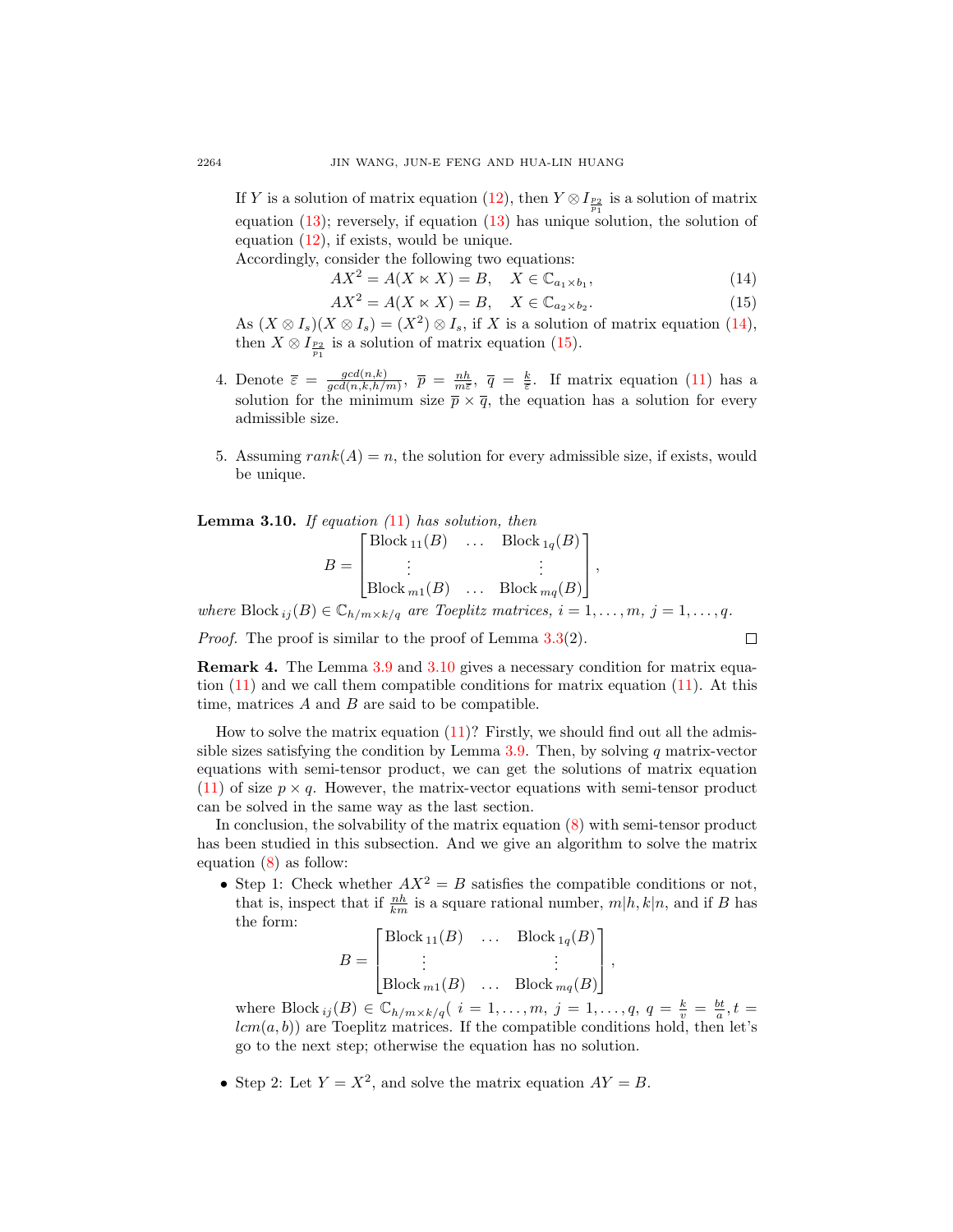If Y is a solution of matrix equation [\(12\)](#page-14-2), then  $Y \otimes I_{\frac{p_2}{p_1}}$  is a solution of matrix equation  $(13)$ ; reversely, if equation  $(13)$  has unique solution, the solution of equation  $(12)$ , if exists, would be unique.

Accordingly, consider the following two equations:

<span id="page-15-0"></span> $AX^2 = A(X \ltimes X) = B, \quad X \in \mathbb{C}_{a_1 \times b_1},$  $(14)$ 

<span id="page-15-1"></span>
$$
AX^2 = A(X \ltimes X) = B, \quad X \in \mathbb{C}_{a_2 \times b_2}.\tag{15}
$$

As  $(X \otimes I_s)(X \otimes I_s) = (X^2) \otimes I_s$ , if X is a solution of matrix equation [\(14\)](#page-15-0), then  $X \otimes I_{\frac{p_2}{p_1}}$  is a solution of matrix equation [\(15\)](#page-15-1).

- 4. Denote  $\overline{\varepsilon} = \frac{gcd(n,k)}{gcd(n,k)k}$  $\frac{gcd(n,k)}{gcd(n,k,h/m)}$ ,  $\bar{p} = \frac{nh}{m\bar{\varepsilon}}$ ,  $\bar{q} = \frac{k}{\bar{\varepsilon}}$ . If matrix equation [\(11\)](#page-14-0) has a solution for the minimum size  $\bar{p} \times \bar{q}$ , the equation has a solution for every admissible size.
- 5. Assuming  $rank(A) = n$ , the solution for every admissible size, if exists, would be unique.

<span id="page-15-2"></span>**Lemma 3.10.** If equation  $(11)$  $(11)$  has solution, then

$$
B = \begin{bmatrix} \text{Block}_{11}(B) & \dots & \text{Block}_{1q}(B) \\ \vdots & & \vdots \\ \text{Block}_{m1}(B) & \dots & \text{Block}_{mq}(B) \end{bmatrix},
$$

where Block  $_{ij}(B) \in \mathbb{C}_{h/m \times k/q}$  are Toeplitz matrices,  $i = 1, \ldots, m, j = 1, \ldots, q$ .

*Proof.* The proof is similar to the proof of Lemma  $3.3(2)$  $3.3(2)$  $3.3(2)$ .

$$
f_{\rm{max}}
$$

 $\Box$ 

Remark 4. The Lemma [3](#page-14-1).9 and 3.[10](#page-15-2) gives a necessary condition for matrix equation [\(11\)](#page-14-0) and we call them compatible conditions for matrix equation [\(11\)](#page-14-0). At this time, matrices  $A$  and  $B$  are said to be compatible.

How to solve the matrix equation  $(11)$ ? Firstly, we should find out all the admis-sible sizes satisfying the condition by Lemma [3.9.](#page-14-1) Then, by solving  $q$  matrix-vector equations with semi-tensor product, we can get the solutions of matrix equation [\(11\)](#page-14-0) of size  $p \times q$ . However, the matrix-vector equations with semi-tensor product can be solved in the same way as the last section.

In conclusion, the solvability of the matrix equation [\(8\)](#page-6-1) with semi-tensor product has been studied in this subsection. And we give an algorithm to solve the matrix equation [\(8\)](#page-6-1) as follow:

• Step 1: Check whether  $AX^2 = B$  satisfies the compatible conditions or not, that is, inspect that if  $\frac{nh}{km}$  is a square rational number,  $m|h, k|n$ , and if B has the form:

$$
B = \begin{bmatrix} \text{Block}_{11}(B) & \dots & \text{Block}_{1q}(B) \\ \vdots & & \vdots \\ \text{Block}_{m1}(B) & \dots & \text{Block}_{mq}(B) \end{bmatrix},
$$

where Block  $_{ij}(B) \in \mathbb{C}_{h/m \times k/q}$   $(i = 1, ..., m, j = 1, ..., q, q = \frac{k}{v} = \frac{bt}{a}, t =$  $lcm(a, b)$  are Toeplitz matrices. If the compatible conditions hold, then let's go to the next step; otherwise the equation has no solution.

• Step 2: Let  $Y = X^2$ , and solve the matrix equation  $AY = B$ .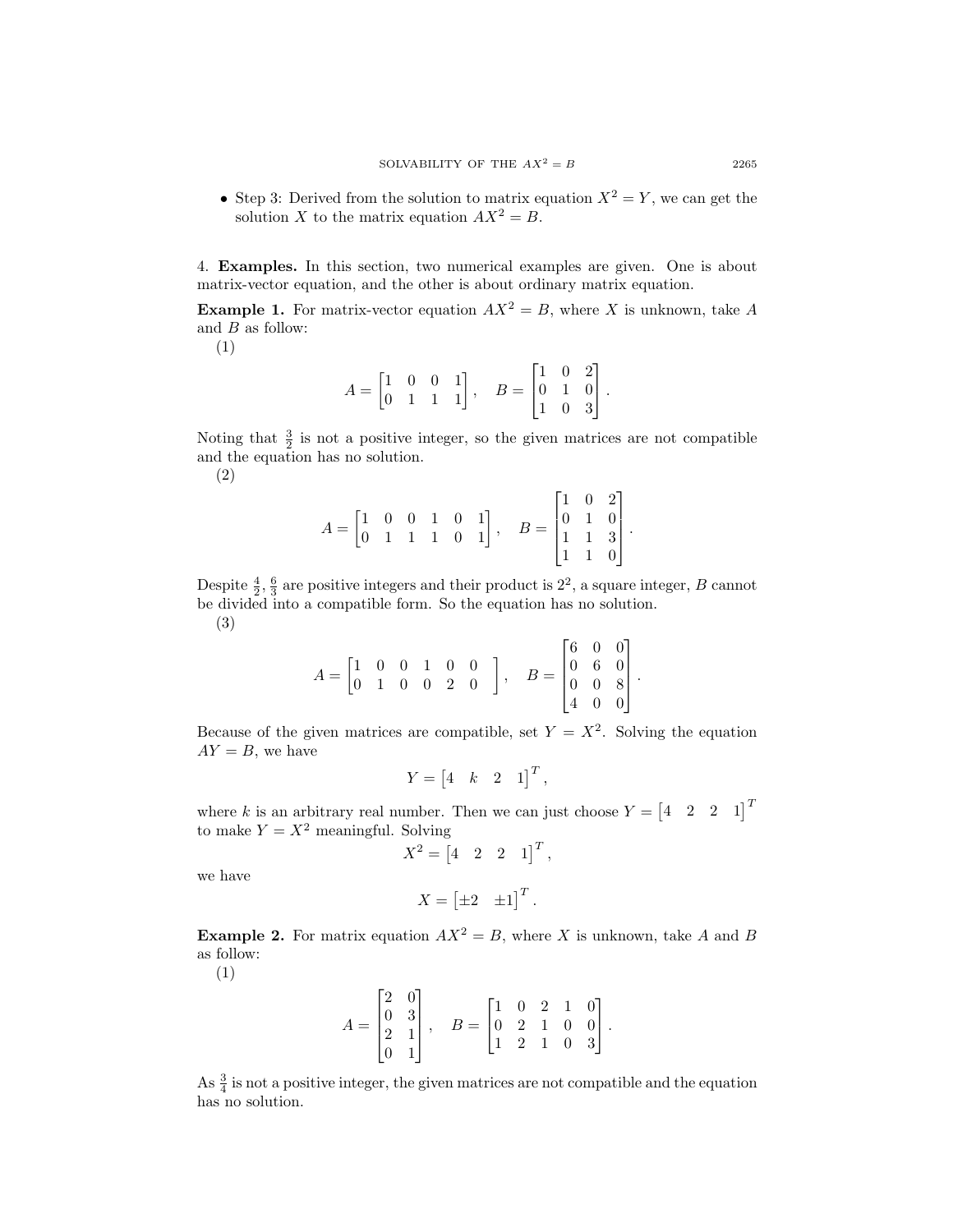• Step 3: Derived from the solution to matrix equation  $X^2 = Y$ , we can get the solution X to the matrix equation  $AX^2 = B$ .

4. Examples. In this section, two numerical examples are given. One is about matrix-vector equation, and the other is about ordinary matrix equation.

**Example 1.** For matrix-vector equation  $AX^2 = B$ , where X is unknown, take A and  $B$  as follow:

(1)

$$
A = \begin{bmatrix} 1 & 0 & 0 & 1 \\ 0 & 1 & 1 & 1 \end{bmatrix}, \quad B = \begin{bmatrix} 1 & 0 & 2 \\ 0 & 1 & 0 \\ 1 & 0 & 3 \end{bmatrix}.
$$

Noting that  $\frac{3}{2}$  is not a positive integer, so the given matrices are not compatible and the equation has no solution.

(2)

$$
A = \begin{bmatrix} 1 & 0 & 0 & 1 & 0 & 1 \\ 0 & 1 & 1 & 1 & 0 & 1 \end{bmatrix}, \quad B = \begin{bmatrix} 1 & 0 & 2 \\ 0 & 1 & 0 \\ 1 & 1 & 3 \\ 1 & 1 & 0 \end{bmatrix}.
$$

Despite  $\frac{4}{2}$ ,  $\frac{6}{3}$  are positive integers and their product is  $2^2$ , a square integer, B cannot be divided into a compatible form. So the equation has no solution. (3)

$$
A = \begin{bmatrix} 1 & 0 & 0 & 1 & 0 & 0 \\ 0 & 1 & 0 & 0 & 2 & 0 \end{bmatrix}, \quad B = \begin{bmatrix} 6 & 0 & 0 \\ 0 & 6 & 0 \\ 0 & 0 & 8 \\ 4 & 0 & 0 \end{bmatrix}
$$

.

Because of the given matrices are compatible, set  $Y = X^2$ . Solving the equation  $AY = B$ , we have

$$
Y = \begin{bmatrix} 4 & k & 2 & 1 \end{bmatrix}^T,
$$

where k is an arbitrary real number. Then we can just choose  $Y = \begin{bmatrix} 4 & 2 & 2 & 1 \end{bmatrix}^T$ to make  $Y = X^2$  meaningful. Solving

$$
X^2 = \begin{bmatrix} 4 & 2 & 2 & 1 \end{bmatrix}^T,
$$

we have

$$
X = \begin{bmatrix} \pm 2 & \pm 1 \end{bmatrix}^T.
$$

**Example 2.** For matrix equation  $AX^2 = B$ , where X is unknown, take A and B as follow:

(1)

$$
A = \begin{bmatrix} 2 & 0 \\ 0 & 3 \\ 2 & 1 \\ 0 & 1 \end{bmatrix}, \quad B = \begin{bmatrix} 1 & 0 & 2 & 1 & 0 \\ 0 & 2 & 1 & 0 & 0 \\ 1 & 2 & 1 & 0 & 3 \end{bmatrix}.
$$

As  $\frac{3}{4}$  is not a positive integer, the given matrices are not compatible and the equation has no solution.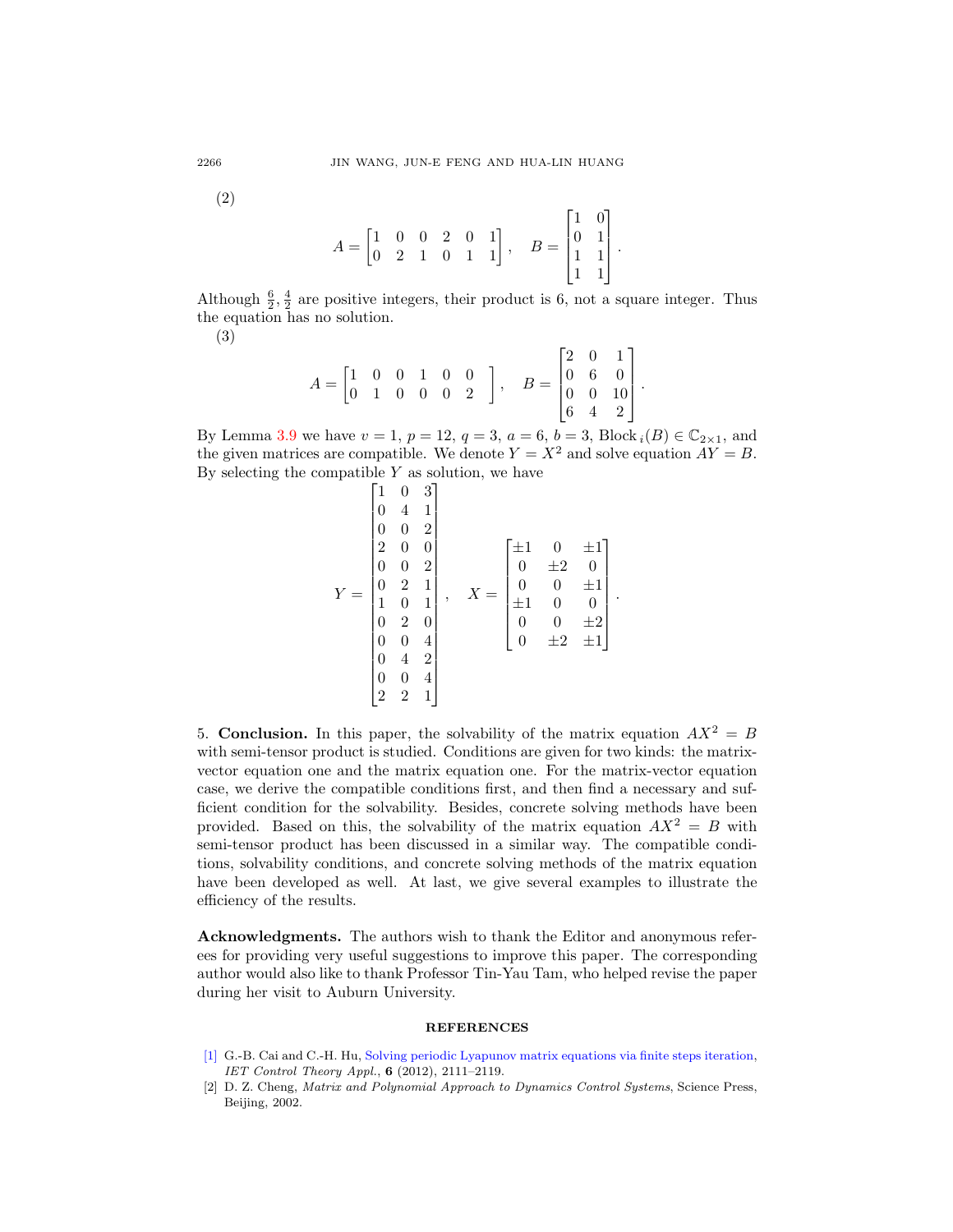(2)

$$
A = \begin{bmatrix} 1 & 0 & 0 & 2 & 0 & 1 \\ 0 & 2 & 1 & 0 & 1 & 1 \end{bmatrix}, \quad B = \begin{bmatrix} 1 & 0 \\ 0 & 1 \\ 1 & 1 \\ 1 & 1 \end{bmatrix}.
$$

Although  $\frac{6}{2}$ ,  $\frac{4}{2}$  are positive integers, their product is 6, not a square integer. Thus the equation has no solution.

(3)

$$
A = \begin{bmatrix} 1 & 0 & 0 & 1 & 0 & 0 \\ 0 & 1 & 0 & 0 & 0 & 2 \end{bmatrix}, \quad B = \begin{bmatrix} 2 & 0 & 1 \\ 0 & 6 & 0 \\ 0 & 0 & 10 \\ 6 & 4 & 2 \end{bmatrix}
$$

.

By Lemma [3](#page-14-1).9 we have  $v = 1$ ,  $p = 12$ ,  $q = 3$ ,  $a = 6$ ,  $b = 3$ , Block  $i(B) \in \mathbb{C}_{2 \times 1}$ , and the given matrices are compatible. We denote  $Y = X^2$  and solve equation  $AY = B$ . By selecting the compatible  $Y$  as solution, we have

$$
Y = \begin{bmatrix} 1 & 0 & 3 \\ 0 & 4 & 1 \\ 0 & 0 & 2 \\ 2 & 0 & 0 \\ 0 & 0 & 2 \\ 0 & 2 & 1 \\ 1 & 0 & 1 \\ 0 & 2 & 0 \\ 0 & 0 & 4 \\ 0 & 4 & 2 \\ 2 & 2 & 1 \end{bmatrix}, \quad X = \begin{bmatrix} \pm 1 & 0 & \pm 1 \\ 0 & \pm 2 & 0 \\ 0 & 0 & \pm 1 \\ \pm 1 & 0 & 0 \\ 0 & 0 & \pm 2 \\ 0 & \pm 2 & \pm 1 \end{bmatrix}.
$$

5. **Conclusion.** In this paper, the solvability of the matrix equation  $AX^2 = B$ with semi-tensor product is studied. Conditions are given for two kinds: the matrixvector equation one and the matrix equation one. For the matrix-vector equation case, we derive the compatible conditions first, and then find a necessary and sufficient condition for the solvability. Besides, concrete solving methods have been provided. Based on this, the solvability of the matrix equation  $AX^2 = B$  with semi-tensor product has been discussed in a similar way. The compatible conditions, solvability conditions, and concrete solving methods of the matrix equation have been developed as well. At last, we give several examples to illustrate the efficiency of the results.

Acknowledgments. The authors wish to thank the Editor and anonymous referees for providing very useful suggestions to improve this paper. The corresponding author would also like to thank Professor Tin-Yau Tam, who helped revise the paper during her visit to Auburn University.

## **REFERENCES**

- <span id="page-17-0"></span>[\[1\]](http://www.ams.org/mathscinet-getitem?mr=MR3058453&return=pdf) G.-B. Cai and C.-H. Hu, [Solving periodic Lyapunov matrix equations via finite steps iteration,](http://dx.doi.org/10.1049/iet-cta.2011.0560) IET Control Theory Appl., 6 (2012), 2111–2119.
- <span id="page-17-1"></span>[2] D. Z. Cheng, Matrix and Polynomial Approach to Dynamics Control Systems, Science Press, Beijing, 2002.